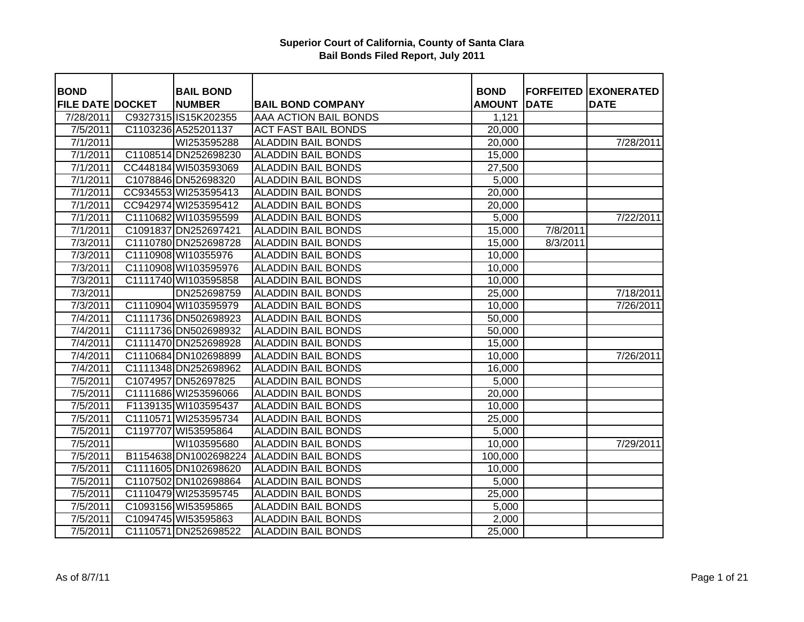| <b>BOND</b>             | <b>BAIL BOND</b>      |                            | <b>BOND</b>   |             | <b>FORFEITED EXONERATED</b> |
|-------------------------|-----------------------|----------------------------|---------------|-------------|-----------------------------|
| <b>FILE DATE DOCKET</b> | <b>NUMBER</b>         | <b>BAIL BOND COMPANY</b>   | <b>AMOUNT</b> | <b>DATE</b> | <b>DATE</b>                 |
| 7/28/2011               | C9327315 IS15K202355  | AAA ACTION BAIL BONDS      | 1,121         |             |                             |
| 7/5/2011                | C1103236 A525201137   | <b>ACT FAST BAIL BONDS</b> | 20,000        |             |                             |
| 7/1/2011                | WI253595288           | <b>ALADDIN BAIL BONDS</b>  | 20,000        |             | 7/28/2011                   |
| 7/1/2011                | C1108514 DN252698230  | <b>ALADDIN BAIL BONDS</b>  | 15,000        |             |                             |
| 7/1/2011                | CC448184 WI503593069  | <b>ALADDIN BAIL BONDS</b>  | 27,500        |             |                             |
| 7/1/2011                | C1078846 DN52698320   | <b>ALADDIN BAIL BONDS</b>  | 5,000         |             |                             |
| 7/1/2011                | CC934553 WI253595413  | <b>ALADDIN BAIL BONDS</b>  | 20,000        |             |                             |
| 7/1/2011                | CC942974 WI253595412  | <b>ALADDIN BAIL BONDS</b>  | 20,000        |             |                             |
| 7/1/2011                | C1110682 WI103595599  | <b>ALADDIN BAIL BONDS</b>  | 5,000         |             | 7/22/2011                   |
| 7/1/2011                | C1091837 DN252697421  | <b>ALADDIN BAIL BONDS</b>  | 15,000        | 7/8/2011    |                             |
| 7/3/2011                | C1110780 DN252698728  | <b>ALADDIN BAIL BONDS</b>  | 15,000        | 8/3/2011    |                             |
| 7/3/2011                | C1110908 WI10355976   | <b>ALADDIN BAIL BONDS</b>  | 10,000        |             |                             |
| 7/3/2011                | C1110908 WI103595976  | <b>ALADDIN BAIL BONDS</b>  | 10,000        |             |                             |
| 7/3/2011                | C1111740 WI103595858  | <b>ALADDIN BAIL BONDS</b>  | 10,000        |             |                             |
| 7/3/2011                | DN252698759           | <b>ALADDIN BAIL BONDS</b>  | 25,000        |             | 7/18/2011                   |
| 7/3/2011                | C1110904 WI103595979  | <b>ALADDIN BAIL BONDS</b>  | 10,000        |             | 7/26/2011                   |
| 7/4/2011                | C1111736 DN502698923  | <b>ALADDIN BAIL BONDS</b>  | 50,000        |             |                             |
| 7/4/2011                | C1111736 DN502698932  | <b>ALADDIN BAIL BONDS</b>  | 50,000        |             |                             |
| 7/4/2011                | C1111470 DN252698928  | <b>ALADDIN BAIL BONDS</b>  | 15,000        |             |                             |
| 7/4/2011                | C1110684 DN102698899  | <b>ALADDIN BAIL BONDS</b>  | 10,000        |             | 7/26/2011                   |
| 7/4/2011                | C1111348 DN252698962  | <b>ALADDIN BAIL BONDS</b>  | 16,000        |             |                             |
| 7/5/2011                | C1074957 DN52697825   | <b>ALADDIN BAIL BONDS</b>  | 5,000         |             |                             |
| 7/5/2011                | C1111686 WI253596066  | <b>ALADDIN BAIL BONDS</b>  | 20,000        |             |                             |
| 7/5/2011                | F1139135 WI103595437  | <b>ALADDIN BAIL BONDS</b>  | 10,000        |             |                             |
| 7/5/2011                | C1110571 WI253595734  | <b>ALADDIN BAIL BONDS</b>  | 25,000        |             |                             |
| 7/5/2011                | C1197707 WI53595864   | <b>ALADDIN BAIL BONDS</b>  | 5,000         |             |                             |
| 7/5/2011                | WI103595680           | <b>ALADDIN BAIL BONDS</b>  | 10,000        |             | 7/29/2011                   |
| 7/5/2011                | B1154638 DN1002698224 | <b>ALADDIN BAIL BONDS</b>  | 100,000       |             |                             |
| 7/5/2011                | C1111605 DN102698620  | <b>ALADDIN BAIL BONDS</b>  | 10,000        |             |                             |
| 7/5/2011                | C1107502 DN102698864  | <b>ALADDIN BAIL BONDS</b>  | 5,000         |             |                             |
| 7/5/2011                | C1110479 WI253595745  | <b>ALADDIN BAIL BONDS</b>  | 25,000        |             |                             |
| 7/5/2011                | C1093156 WI53595865   | <b>ALADDIN BAIL BONDS</b>  | 5,000         |             |                             |
| 7/5/2011                | C1094745 WI53595863   | <b>ALADDIN BAIL BONDS</b>  | 2,000         |             |                             |
| 7/5/2011                | C1110571 DN252698522  | <b>ALADDIN BAIL BONDS</b>  | 25,000        |             |                             |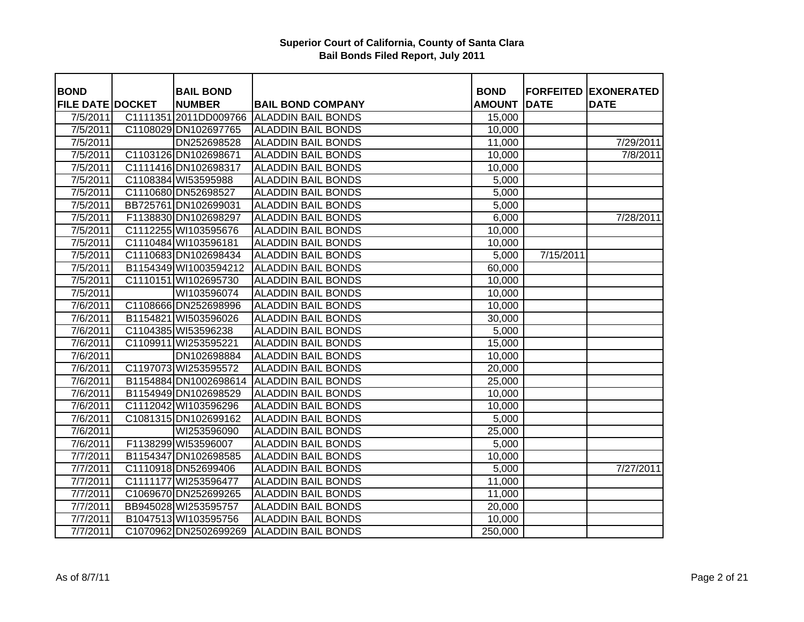| <b>BOND</b>             | <b>BAIL BOND</b>      |                                          | <b>BOND</b>   |             | <b>FORFEITED EXONERATED</b> |
|-------------------------|-----------------------|------------------------------------------|---------------|-------------|-----------------------------|
| <b>FILE DATE DOCKET</b> | <b>NUMBER</b>         | <b>BAIL BOND COMPANY</b>                 | <b>AMOUNT</b> | <b>DATE</b> | <b>DATE</b>                 |
| 7/5/2011                |                       | C1111351 2011DD009766 ALADDIN BAIL BONDS | 15,000        |             |                             |
| 7/5/2011                | C1108029 DN102697765  | <b>ALADDIN BAIL BONDS</b>                | 10,000        |             |                             |
| 7/5/2011                | DN252698528           | <b>ALADDIN BAIL BONDS</b>                | 11,000        |             | 7/29/2011                   |
| 7/5/2011                | C1103126 DN102698671  | <b>ALADDIN BAIL BONDS</b>                | 10,000        |             | 7/8/2011                    |
| 7/5/2011                | C1111416 DN102698317  | <b>ALADDIN BAIL BONDS</b>                | 10,000        |             |                             |
| 7/5/2011                | C1108384 WI53595988   | <b>ALADDIN BAIL BONDS</b>                | 5,000         |             |                             |
| 7/5/2011                | C1110680 DN52698527   | <b>ALADDIN BAIL BONDS</b>                | 5,000         |             |                             |
| 7/5/2011                | BB725761 DN102699031  | <b>ALADDIN BAIL BONDS</b>                | 5,000         |             |                             |
| $\frac{1}{7}/5/2011$    | F1138830 DN102698297  | <b>ALADDIN BAIL BONDS</b>                | 6,000         |             | 7/28/2011                   |
| 7/5/2011                | C1112255 WI103595676  | <b>ALADDIN BAIL BONDS</b>                | 10,000        |             |                             |
| 7/5/2011                | C1110484 WI103596181  | <b>ALADDIN BAIL BONDS</b>                | 10,000        |             |                             |
| $\frac{1}{7}/5/2011$    | C1110683 DN102698434  | <b>ALADDIN BAIL BONDS</b>                | 5,000         | 7/15/2011   |                             |
| 7/5/2011                | B1154349 WI1003594212 | <b>ALADDIN BAIL BONDS</b>                | 60,000        |             |                             |
| 7/5/2011                | C1110151 WI102695730  | <b>ALADDIN BAIL BONDS</b>                | 10,000        |             |                             |
| 7/5/2011                | WI103596074           | <b>ALADDIN BAIL BONDS</b>                | 10,000        |             |                             |
| 7/6/2011                | C1108666 DN252698996  | <b>ALADDIN BAIL BONDS</b>                | 10,000        |             |                             |
| 7/6/2011                | B1154821 WI503596026  | <b>ALADDIN BAIL BONDS</b>                | 30,000        |             |                             |
| 7/6/2011                | C1104385 WI53596238   | <b>ALADDIN BAIL BONDS</b>                | 5,000         |             |                             |
| 7/6/2011                | C1109911 WI253595221  | <b>ALADDIN BAIL BONDS</b>                | 15,000        |             |                             |
| 7/6/2011                | DN102698884           | <b>ALADDIN BAIL BONDS</b>                | 10,000        |             |                             |
| 7/6/2011                | C1197073 WI253595572  | <b>ALADDIN BAIL BONDS</b>                | 20,000        |             |                             |
| $\frac{1}{7}$ 6/2011    | B1154884 DN1002698614 | <b>ALADDIN BAIL BONDS</b>                | 25,000        |             |                             |
| 7/6/2011                | B1154949 DN102698529  | <b>ALADDIN BAIL BONDS</b>                | 10,000        |             |                             |
| $\overline{7/6}/2011$   | C1112042 WI103596296  | <b>ALADDIN BAIL BONDS</b>                | 10,000        |             |                             |
| 7/6/2011                | C1081315 DN102699162  | <b>ALADDIN BAIL BONDS</b>                | 5,000         |             |                             |
| 7/6/2011                | WI253596090           | <b>ALADDIN BAIL BONDS</b>                | 25,000        |             |                             |
| 7/6/2011                | F1138299 WI53596007   | <b>ALADDIN BAIL BONDS</b>                | 5,000         |             |                             |
| 7/7/2011                | B1154347 DN102698585  | <b>ALADDIN BAIL BONDS</b>                | 10,000        |             |                             |
| 7/7/2011                | C1110918 DN52699406   | <b>ALADDIN BAIL BONDS</b>                | 5,000         |             | 7/27/2011                   |
| 7/7/2011                | C1111177 WI253596477  | <b>ALADDIN BAIL BONDS</b>                | 11,000        |             |                             |
| 7/7/2011                | C1069670 DN252699265  | <b>ALADDIN BAIL BONDS</b>                | 11,000        |             |                             |
| 7/7/2011                | BB945028 WI253595757  | <b>ALADDIN BAIL BONDS</b>                | 20,000        |             |                             |
| 7/7/2011                | B1047513 WI103595756  | <b>ALADDIN BAIL BONDS</b>                | 10,000        |             |                             |
| 7/7/2011                | C1070962 DN2502699269 | <b>ALADDIN BAIL BONDS</b>                | 250,000       |             |                             |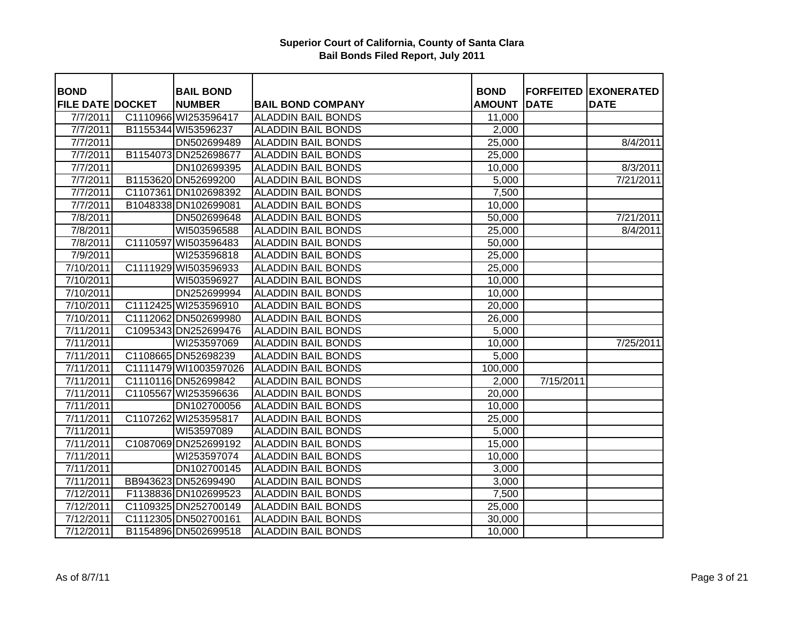| <b>BOND</b>             | <b>BAIL BOND</b>      |                           | <b>BOND</b>        |             | <b>FORFEITED EXONERATED</b> |
|-------------------------|-----------------------|---------------------------|--------------------|-------------|-----------------------------|
| <b>FILE DATE DOCKET</b> | <b>NUMBER</b>         | <b>BAIL BOND COMPANY</b>  | <b>AMOUNT</b>      | <b>DATE</b> | <b>DATE</b>                 |
| 7/7/2011                | C1110966 WI253596417  | <b>ALADDIN BAIL BONDS</b> | 11,000             |             |                             |
| 7/7/2011                | B1155344 WI53596237   | <b>ALADDIN BAIL BONDS</b> | 2,000              |             |                             |
| 7/7/2011                | DN502699489           | <b>ALADDIN BAIL BONDS</b> | 25,000             |             | 8/4/2011                    |
| 7/7/2011                | B1154073 DN252698677  | <b>ALADDIN BAIL BONDS</b> | 25,000             |             |                             |
| 7/7/2011                | DN102699395           | <b>ALADDIN BAIL BONDS</b> | 10,000             |             | 8/3/2011                    |
| 7/7/2011                | B1153620 DN52699200   | <b>ALADDIN BAIL BONDS</b> | 5,000              |             | 7/21/2011                   |
| 7/7/2011                | C1107361 DN102698392  | <b>ALADDIN BAIL BONDS</b> | 7,500              |             |                             |
| 7/7/2011                | B1048338 DN102699081  | <b>ALADDIN BAIL BONDS</b> | 10,000             |             |                             |
| 7/8/2011                | DN502699648           | <b>ALADDIN BAIL BONDS</b> | 50,000             |             | 7/21/2011                   |
| 7/8/2011                | WI503596588           | <b>ALADDIN BAIL BONDS</b> | 25,000             |             | 8/4/2011                    |
| $\frac{7}{8}$ /2011     | C1110597 WI503596483  | <b>ALADDIN BAIL BONDS</b> | 50,000             |             |                             |
| 7/9/2011                | WI253596818           | <b>ALADDIN BAIL BONDS</b> | 25,000             |             |                             |
| 7/10/2011               | C1111929 WI503596933  | <b>ALADDIN BAIL BONDS</b> | 25,000             |             |                             |
| 7/10/2011               | WI503596927           | <b>ALADDIN BAIL BONDS</b> | 10,000             |             |                             |
| 7/10/2011               | DN252699994           | <b>ALADDIN BAIL BONDS</b> | 10,000             |             |                             |
| 7/10/2011               | C1112425 WI253596910  | <b>ALADDIN BAIL BONDS</b> | 20,000             |             |                             |
| 7/10/2011               | C1112062 DN502699980  | <b>ALADDIN BAIL BONDS</b> | 26,000             |             |                             |
| 7/11/2011               | C1095343 DN252699476  | <b>ALADDIN BAIL BONDS</b> | 5,000              |             |                             |
| 7/11/2011               | WI253597069           | <b>ALADDIN BAIL BONDS</b> | 10,000             |             | 7/25/2011                   |
| 7/11/2011               | C1108665 DN52698239   | <b>ALADDIN BAIL BONDS</b> | 5,000              |             |                             |
| 7/11/2011               | C1111479 WI1003597026 | <b>ALADDIN BAIL BONDS</b> | 100,000            |             |                             |
| 7/11/2011               | C1110116 DN52699842   | <b>ALADDIN BAIL BONDS</b> | 2,000              | 7/15/2011   |                             |
| 7/11/2011               | C1105567 WI253596636  | <b>ALADDIN BAIL BONDS</b> | 20,000             |             |                             |
| 7/11/2011               | DN102700056           | <b>ALADDIN BAIL BONDS</b> | 10,000             |             |                             |
| 7/11/2011               | C1107262 WI253595817  | <b>ALADDIN BAIL BONDS</b> | 25,000             |             |                             |
| 7/11/2011               | WI53597089            | <b>ALADDIN BAIL BONDS</b> | 5,000              |             |                             |
| 7/11/2011               | C1087069 DN252699192  | <b>ALADDIN BAIL BONDS</b> | 15,000             |             |                             |
| 7/11/2011               | WI253597074           | <b>ALADDIN BAIL BONDS</b> | 10,000             |             |                             |
| 7/11/2011               | DN102700145           | <b>ALADDIN BAIL BONDS</b> | 3,000              |             |                             |
| 7/11/2011               | BB943623 DN52699490   | <b>ALADDIN BAIL BONDS</b> | 3,000              |             |                             |
| 7/12/2011               | F1138836 DN102699523  | <b>ALADDIN BAIL BONDS</b> | $\overline{7},500$ |             |                             |
| 7/12/2011               | C1109325 DN252700149  | <b>ALADDIN BAIL BONDS</b> | 25,000             |             |                             |
| 7/12/2011               | C1112305 DN502700161  | <b>ALADDIN BAIL BONDS</b> | 30,000             |             |                             |
| 7/12/2011               | B1154896 DN502699518  | <b>ALADDIN BAIL BONDS</b> | 10,000             |             |                             |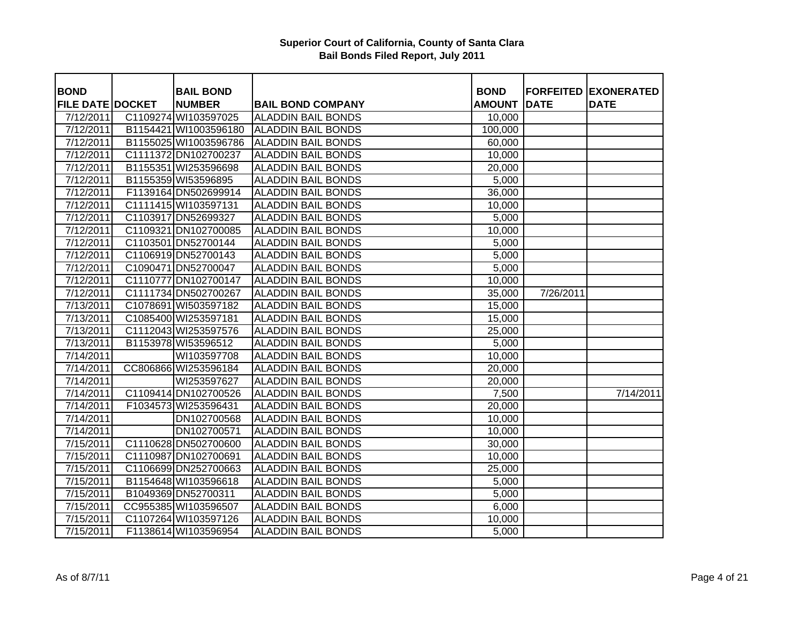| <b>BOND</b>             | <b>BAIL BOND</b>      |                           | <b>BOND</b>   |             | <b>FORFEITED EXONERATED</b> |
|-------------------------|-----------------------|---------------------------|---------------|-------------|-----------------------------|
| <b>FILE DATE DOCKET</b> | <b>NUMBER</b>         | <b>BAIL BOND COMPANY</b>  | <b>AMOUNT</b> | <b>DATE</b> | <b>DATE</b>                 |
| 7/12/2011               | C1109274 WI103597025  | <b>ALADDIN BAIL BONDS</b> | 10,000        |             |                             |
| 7/12/2011               | B1154421 WI1003596180 | <b>ALADDIN BAIL BONDS</b> | 100,000       |             |                             |
| 7/12/2011               | B1155025 WI1003596786 | <b>ALADDIN BAIL BONDS</b> | 60,000        |             |                             |
| 7/12/2011               | C1111372 DN102700237  | <b>ALADDIN BAIL BONDS</b> | 10,000        |             |                             |
| 7/12/2011               | B1155351 WI253596698  | <b>ALADDIN BAIL BONDS</b> | 20,000        |             |                             |
| 7/12/2011               | B1155359 WI53596895   | <b>ALADDIN BAIL BONDS</b> | 5,000         |             |                             |
| 7/12/2011               | F1139164 DN502699914  | <b>ALADDIN BAIL BONDS</b> | 36,000        |             |                             |
| 7/12/2011               | C1111415 WI103597131  | <b>ALADDIN BAIL BONDS</b> | 10,000        |             |                             |
| 7/12/2011               | C1103917 DN52699327   | <b>ALADDIN BAIL BONDS</b> | 5,000         |             |                             |
| 7/12/2011               | C1109321 DN102700085  | <b>ALADDIN BAIL BONDS</b> | 10,000        |             |                             |
| 7/12/2011               | C1103501 DN52700144   | <b>ALADDIN BAIL BONDS</b> | 5,000         |             |                             |
| 7/12/2011               | C1106919 DN52700143   | <b>ALADDIN BAIL BONDS</b> | 5,000         |             |                             |
| 7/12/2011               | C1090471 DN52700047   | <b>ALADDIN BAIL BONDS</b> | 5,000         |             |                             |
| 7/12/2011               | C1110777 DN102700147  | <b>ALADDIN BAIL BONDS</b> | 10,000        |             |                             |
| 7/12/2011               | C1111734 DN502700267  | <b>ALADDIN BAIL BONDS</b> | 35,000        | 7/26/2011   |                             |
| 7/13/2011               | C1078691 WI503597182  | <b>ALADDIN BAIL BONDS</b> | 15,000        |             |                             |
| 7/13/2011               | C1085400 WI253597181  | <b>ALADDIN BAIL BONDS</b> | 15,000        |             |                             |
| $\overline{7/13/2011}$  | C1112043 WI253597576  | <b>ALADDIN BAIL BONDS</b> | 25,000        |             |                             |
| 7/13/2011               | B1153978 WI53596512   | <b>ALADDIN BAIL BONDS</b> | 5,000         |             |                             |
| 7/14/2011               | WI103597708           | <b>ALADDIN BAIL BONDS</b> | 10,000        |             |                             |
| 7/14/2011               | CC806866 WI253596184  | <b>ALADDIN BAIL BONDS</b> | 20,000        |             |                             |
| 7/14/2011               | WI253597627           | <b>ALADDIN BAIL BONDS</b> | 20,000        |             |                             |
| 7/14/2011               | C1109414 DN102700526  | <b>ALADDIN BAIL BONDS</b> | 7,500         |             | 7/14/2011                   |
| 7/14/2011               | F1034573 WI253596431  | <b>ALADDIN BAIL BONDS</b> | 20,000        |             |                             |
| 7/14/2011               | DN102700568           | <b>ALADDIN BAIL BONDS</b> | 10,000        |             |                             |
| 7/14/2011               | DN102700571           | <b>ALADDIN BAIL BONDS</b> | 10,000        |             |                             |
| 7/15/2011               | C1110628 DN502700600  | <b>ALADDIN BAIL BONDS</b> | 30,000        |             |                             |
| 7/15/2011               | C1110987 DN102700691  | <b>ALADDIN BAIL BONDS</b> | 10,000        |             |                             |
| 7/15/2011               | C1106699 DN252700663  | <b>ALADDIN BAIL BONDS</b> | 25,000        |             |                             |
| 7/15/2011               | B1154648 WI103596618  | <b>ALADDIN BAIL BONDS</b> | 5,000         |             |                             |
| 7/15/2011               | B1049369 DN52700311   | <b>ALADDIN BAIL BONDS</b> | 5,000         |             |                             |
| 7/15/2011               | CC955385 WI103596507  | <b>ALADDIN BAIL BONDS</b> | 6,000         |             |                             |
| 7/15/2011               | C1107264 WI103597126  | <b>ALADDIN BAIL BONDS</b> | 10,000        |             |                             |
| 7/15/2011               | F1138614 WI103596954  | <b>ALADDIN BAIL BONDS</b> | 5,000         |             |                             |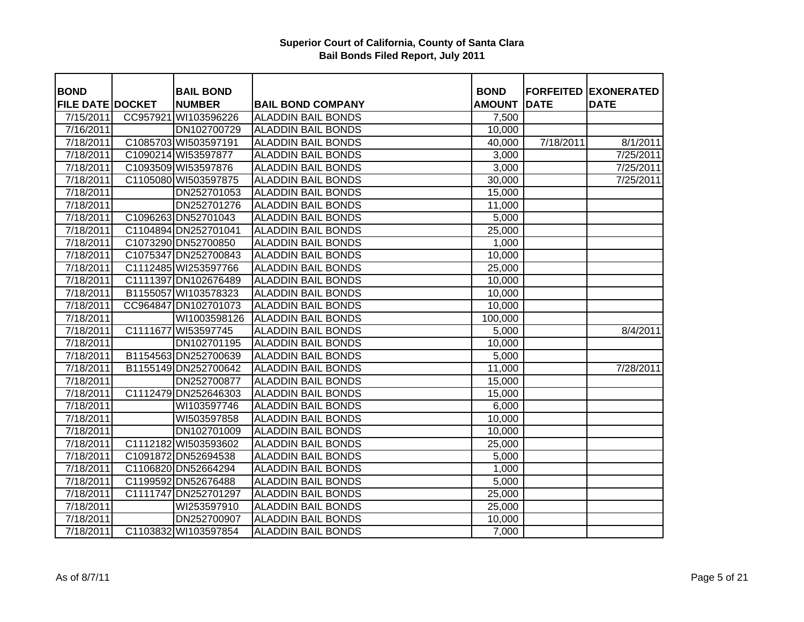| <b>BOND</b>             |          | <b>BAIL BOND</b>     |                           | <b>BOND</b>   |             | <b>FORFEITED EXONERATED</b> |
|-------------------------|----------|----------------------|---------------------------|---------------|-------------|-----------------------------|
| <b>FILE DATE DOCKET</b> |          | <b>NUMBER</b>        | <b>BAIL BOND COMPANY</b>  | <b>AMOUNT</b> | <b>DATE</b> | <b>DATE</b>                 |
| 7/15/2011               |          | CC957921 WI103596226 | <b>ALADDIN BAIL BONDS</b> | 7,500         |             |                             |
| 7/16/2011               |          | DN102700729          | <b>ALADDIN BAIL BONDS</b> | 10,000        |             |                             |
| 7/18/2011               |          | C1085703 WI503597191 | <b>ALADDIN BAIL BONDS</b> | 40,000        | 7/18/2011   | 8/1/2011                    |
| 7/18/2011               |          | C1090214 WI53597877  | <b>ALADDIN BAIL BONDS</b> | 3,000         |             | 7/25/2011                   |
| 7/18/2011               |          | C1093509 WI53597876  | <b>ALADDIN BAIL BONDS</b> | 3,000         |             | 7/25/2011                   |
| 7/18/2011               |          | C1105080 WI503597875 | <b>ALADDIN BAIL BONDS</b> | 30,000        |             | 7/25/2011                   |
| 7/18/2011               |          | DN252701053          | <b>ALADDIN BAIL BONDS</b> |               |             |                             |
|                         |          |                      |                           | 15,000        |             |                             |
| 7/18/2011               |          | DN252701276          | <b>ALADDIN BAIL BONDS</b> | 11,000        |             |                             |
| 7/18/2011               |          | C1096263 DN52701043  | <b>ALADDIN BAIL BONDS</b> | 5,000         |             |                             |
| 7/18/2011               |          | C1104894 DN252701041 | <b>ALADDIN BAIL BONDS</b> | 25,000        |             |                             |
| 7/18/2011               |          | C1073290 DN52700850  | <b>ALADDIN BAIL BONDS</b> | 1,000         |             |                             |
| 7/18/2011               |          | C1075347 DN252700843 | <b>ALADDIN BAIL BONDS</b> | 10,000        |             |                             |
| 7/18/2011               |          | C1112485 WI253597766 | <b>ALADDIN BAIL BONDS</b> | 25,000        |             |                             |
| 7/18/2011               |          | C1111397 DN102676489 | <b>ALADDIN BAIL BONDS</b> | 10,000        |             |                             |
| 7/18/2011               |          | B1155057 WI103578323 | <b>ALADDIN BAIL BONDS</b> | 10,000        |             |                             |
| 7/18/2011               |          | CC964847 DN102701073 | <b>ALADDIN BAIL BONDS</b> | 10,000        |             |                             |
| 7/18/2011               |          | WI1003598126         | <b>ALADDIN BAIL BONDS</b> | 100,000       |             |                             |
| 7/18/2011               | C1111677 | WI53597745           | <b>ALADDIN BAIL BONDS</b> | 5,000         |             | 8/4/2011                    |
| 7/18/2011               |          | DN102701195          | <b>ALADDIN BAIL BONDS</b> | 10,000        |             |                             |
| 7/18/2011               |          | B1154563 DN252700639 | <b>ALADDIN BAIL BONDS</b> | 5,000         |             |                             |
| 7/18/2011               |          | B1155149 DN252700642 | <b>ALADDIN BAIL BONDS</b> | 11,000        |             | 7/28/2011                   |
| 7/18/2011               |          | DN252700877          | <b>ALADDIN BAIL BONDS</b> | 15,000        |             |                             |
| 7/18/2011               |          | C1112479 DN252646303 | <b>ALADDIN BAIL BONDS</b> | 15,000        |             |                             |
| 7/18/2011               |          | WI103597746          | <b>ALADDIN BAIL BONDS</b> | 6,000         |             |                             |
| 7/18/2011               |          | WI503597858          | <b>ALADDIN BAIL BONDS</b> | 10,000        |             |                             |
| 7/18/2011               |          | DN102701009          | <b>ALADDIN BAIL BONDS</b> | 10,000        |             |                             |
| 7/18/2011               |          | C1112182 WI503593602 | <b>ALADDIN BAIL BONDS</b> | 25,000        |             |                             |
| 7/18/2011               |          | C1091872 DN52694538  | <b>ALADDIN BAIL BONDS</b> | 5,000         |             |                             |
| 7/18/2011               |          | C1106820 DN52664294  | <b>ALADDIN BAIL BONDS</b> | 1,000         |             |                             |
| 7/18/2011               |          | C1199592 DN52676488  | <b>ALADDIN BAIL BONDS</b> | 5,000         |             |                             |
| 7/18/2011               |          | C1111747 DN252701297 | <b>ALADDIN BAIL BONDS</b> | 25,000        |             |                             |
| 7/18/2011               |          | WI253597910          | <b>ALADDIN BAIL BONDS</b> | 25,000        |             |                             |
| 7/18/2011               |          | DN252700907          | <b>ALADDIN BAIL BONDS</b> | 10,000        |             |                             |
| 7/18/2011               |          | C1103832 WI103597854 | <b>ALADDIN BAIL BONDS</b> | 7,000         |             |                             |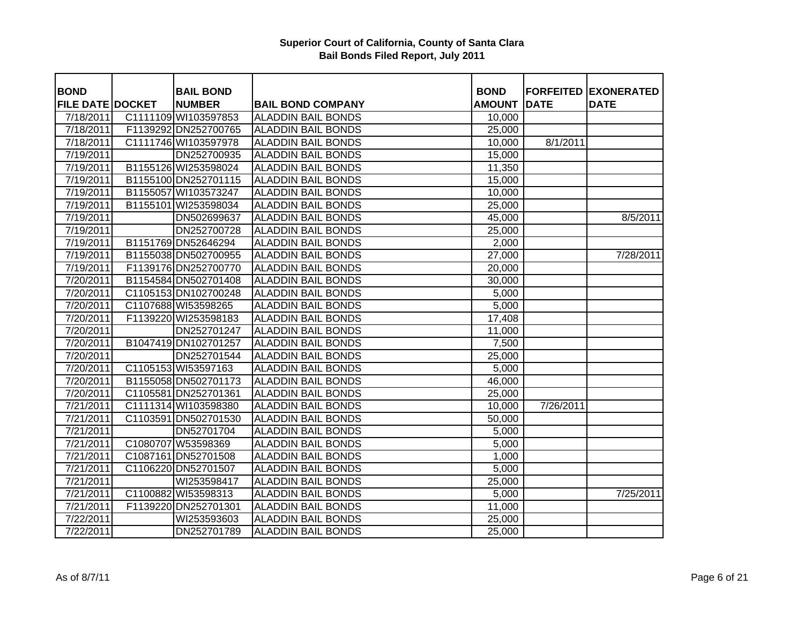| <b>BOND</b>             | <b>BAIL BOND</b>     |                                                        | <b>BOND</b>   |             | <b>FORFEITED EXONERATED</b> |
|-------------------------|----------------------|--------------------------------------------------------|---------------|-------------|-----------------------------|
| <b>FILE DATE DOCKET</b> | <b>NUMBER</b>        | <b>BAIL BOND COMPANY</b>                               | <b>AMOUNT</b> | <b>DATE</b> | <b>DATE</b>                 |
| 7/18/2011               | C1111109 WI103597853 | <b>ALADDIN BAIL BONDS</b><br><b>ALADDIN BAIL BONDS</b> | 10,000        |             |                             |
| 7/18/2011               | F1139292 DN252700765 |                                                        | 25,000        |             |                             |
| 7/18/2011               | C1111746 WI103597978 | <b>ALADDIN BAIL BONDS</b>                              | 10,000        | 8/1/2011    |                             |
| 7/19/2011               | DN252700935          | <b>ALADDIN BAIL BONDS</b>                              | 15,000        |             |                             |
| 7/19/2011               | B1155126 WI253598024 | <b>ALADDIN BAIL BONDS</b>                              | 11,350        |             |                             |
| 7/19/2011               | B1155100 DN252701115 | <b>ALADDIN BAIL BONDS</b>                              | 15,000        |             |                             |
| 7/19/2011               | B1155057 WI103573247 | <b>ALADDIN BAIL BONDS</b>                              | 10,000        |             |                             |
| 7/19/2011               | B1155101 WI253598034 | <b>ALADDIN BAIL BONDS</b>                              | 25,000        |             |                             |
| 7/19/2011               | DN502699637          | <b>ALADDIN BAIL BONDS</b>                              | 45,000        |             | 8/5/2011                    |
| 7/19/2011               | DN252700728          | <b>ALADDIN BAIL BONDS</b>                              | 25,000        |             |                             |
| 7/19/2011               | B1151769 DN52646294  | <b>ALADDIN BAIL BONDS</b>                              | 2,000         |             |                             |
| 7/19/2011               | B1155038 DN502700955 | <b>ALADDIN BAIL BONDS</b>                              | 27,000        |             | 7/28/2011                   |
| 7/19/2011               | F1139176 DN252700770 | <b>ALADDIN BAIL BONDS</b>                              | 20,000        |             |                             |
| 7/20/2011               | B1154584 DN502701408 | <b>ALADDIN BAIL BONDS</b>                              | 30,000        |             |                             |
| 7/20/2011               | C1105153 DN102700248 | <b>ALADDIN BAIL BONDS</b>                              | 5,000         |             |                             |
| 7/20/2011               | C1107688 WI53598265  | <b>ALADDIN BAIL BONDS</b>                              | 5,000         |             |                             |
| 7/20/2011               | F1139220 WI253598183 | <b>ALADDIN BAIL BONDS</b>                              | 17,408        |             |                             |
| 7/20/2011               | DN252701247          | <b>ALADDIN BAIL BONDS</b>                              | 11,000        |             |                             |
| 7/20/2011               | B1047419 DN102701257 | <b>ALADDIN BAIL BONDS</b>                              | 7,500         |             |                             |
| 7/20/2011               | DN252701544          | <b>ALADDIN BAIL BONDS</b>                              | 25,000        |             |                             |
| 7/20/2011               | C1105153 WI53597163  | <b>ALADDIN BAIL BONDS</b>                              | 5,000         |             |                             |
| 7/20/2011               | B1155058 DN502701173 | <b>ALADDIN BAIL BONDS</b>                              | 46,000        |             |                             |
| 7/20/2011               | C1105581 DN252701361 | <b>ALADDIN BAIL BONDS</b>                              | 25,000        |             |                             |
| 7/21/2011               | C1111314 WI103598380 | <b>ALADDIN BAIL BONDS</b>                              | 10,000        | 7/26/2011   |                             |
| 7/21/2011               | C1103591 DN502701530 | <b>ALADDIN BAIL BONDS</b>                              | 50,000        |             |                             |
| 7/21/2011               | DN52701704           | <b>ALADDIN BAIL BONDS</b>                              | 5,000         |             |                             |
| 7/21/2011               | C1080707 W53598369   | <b>ALADDIN BAIL BONDS</b>                              | 5,000         |             |                             |
| 7/21/2011               | C1087161 DN52701508  | <b>ALADDIN BAIL BONDS</b>                              | 1,000         |             |                             |
| 7/21/2011               | C1106220 DN52701507  | <b>ALADDIN BAIL BONDS</b>                              | 5,000         |             |                             |
| 7/21/2011               | WI253598417          | <b>ALADDIN BAIL BONDS</b>                              | 25,000        |             |                             |
| 7/21/2011               | C1100882 WI53598313  | <b>ALADDIN BAIL BONDS</b>                              | 5,000         |             | 7/25/2011                   |
| 7/21/2011               | F1139220 DN252701301 | <b>ALADDIN BAIL BONDS</b>                              | 11,000        |             |                             |
| 7/22/2011               | WI253593603          | <b>ALADDIN BAIL BONDS</b>                              | 25,000        |             |                             |
| $\frac{1}{222/2011}$    | DN252701789          | <b>ALADDIN BAIL BONDS</b>                              | 25,000        |             |                             |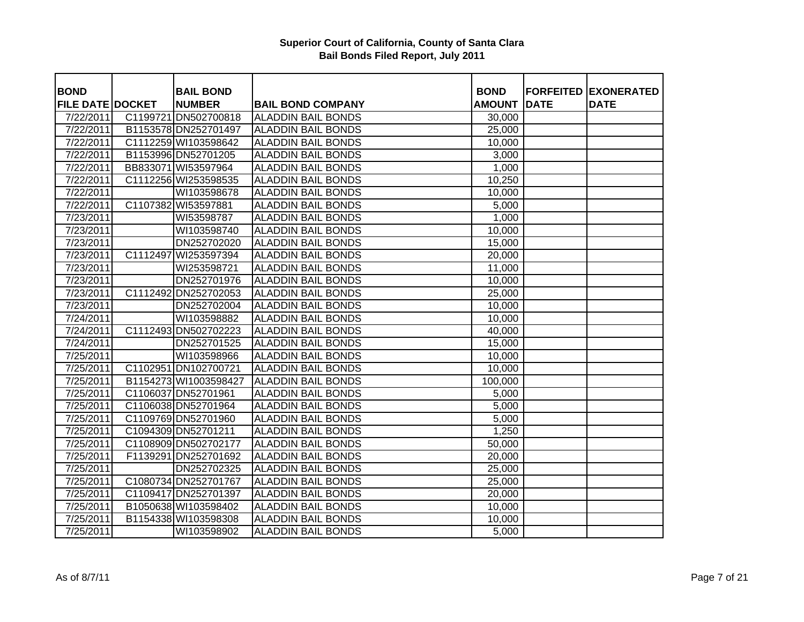| <b>BOND</b>             |          | <b>BAIL BOND</b>      |                           | <b>BOND</b>   |             | <b>FORFEITED EXONERATED</b> |
|-------------------------|----------|-----------------------|---------------------------|---------------|-------------|-----------------------------|
| <b>FILE DATE DOCKET</b> |          | <b>NUMBER</b>         | <b>BAIL BOND COMPANY</b>  | <b>AMOUNT</b> | <b>DATE</b> | <b>DATE</b>                 |
| 7/22/2011               |          | C1199721 DN502700818  | <b>ALADDIN BAIL BONDS</b> | 30,000        |             |                             |
| 7/22/2011               |          | B1153578 DN252701497  | <b>ALADDIN BAIL BONDS</b> | 25,000        |             |                             |
| 7/22/2011               |          | C1112259 WI103598642  | <b>ALADDIN BAIL BONDS</b> | 10,000        |             |                             |
| 7/22/2011               |          | B1153996 DN52701205   | <b>ALADDIN BAIL BONDS</b> | 3,000         |             |                             |
| 7/22/2011               |          | BB833071 WI53597964   | <b>ALADDIN BAIL BONDS</b> | 1,000         |             |                             |
| 7/22/2011               |          | C1112256 WI253598535  | <b>ALADDIN BAIL BONDS</b> | 10,250        |             |                             |
| 7/22/2011               |          | WI103598678           | <b>ALADDIN BAIL BONDS</b> | 10,000        |             |                             |
| 7/22/2011               |          | C1107382 WI53597881   | <b>ALADDIN BAIL BONDS</b> | 5,000         |             |                             |
| 7/23/2011               |          | WI53598787            | <b>ALADDIN BAIL BONDS</b> | 1,000         |             |                             |
| 7/23/2011               |          | WI103598740           | <b>ALADDIN BAIL BONDS</b> | 10,000        |             |                             |
| 7/23/2011               |          | DN252702020           | <b>ALADDIN BAIL BONDS</b> | 15,000        |             |                             |
| 7/23/2011               | C1112497 | WI253597394           | <b>ALADDIN BAIL BONDS</b> | 20,000        |             |                             |
| 7/23/2011               |          | WI253598721           | <b>ALADDIN BAIL BONDS</b> | 11,000        |             |                             |
| 7/23/2011               |          | DN252701976           | <b>ALADDIN BAIL BONDS</b> | 10,000        |             |                             |
| 7/23/2011               |          | C1112492 DN252702053  | <b>ALADDIN BAIL BONDS</b> | 25,000        |             |                             |
| 7/23/2011               |          | DN252702004           | <b>ALADDIN BAIL BONDS</b> | 10,000        |             |                             |
| 7/24/2011               |          | WI103598882           | <b>ALADDIN BAIL BONDS</b> | 10,000        |             |                             |
| 7/24/2011               |          | C1112493 DN502702223  | <b>ALADDIN BAIL BONDS</b> | 40,000        |             |                             |
| 7/24/2011               |          | DN252701525           | <b>ALADDIN BAIL BONDS</b> | 15,000        |             |                             |
| $\frac{7}{25/2011}$     |          | WI103598966           | <b>ALADDIN BAIL BONDS</b> | 10,000        |             |                             |
| 7/25/2011               |          | C1102951 DN102700721  | <b>ALADDIN BAIL BONDS</b> | 10,000        |             |                             |
| 7/25/2011               |          | B1154273 WI1003598427 | <b>ALADDIN BAIL BONDS</b> | 100,000       |             |                             |
| 7/25/2011               |          | C1106037 DN52701961   | <b>ALADDIN BAIL BONDS</b> | 5,000         |             |                             |
| 7/25/2011               |          | C1106038 DN52701964   | <b>ALADDIN BAIL BONDS</b> | 5,000         |             |                             |
| 7/25/2011               |          | C1109769 DN52701960   | <b>ALADDIN BAIL BONDS</b> | 5,000         |             |                             |
| 7/25/2011               |          | C1094309 DN52701211   | <b>ALADDIN BAIL BONDS</b> | 1,250         |             |                             |
| 7/25/2011               |          | C1108909 DN502702177  | <b>ALADDIN BAIL BONDS</b> | 50,000        |             |                             |
| 7/25/2011               |          | F1139291 DN252701692  | <b>ALADDIN BAIL BONDS</b> | 20,000        |             |                             |
| 7/25/2011               |          | DN252702325           | <b>ALADDIN BAIL BONDS</b> | 25,000        |             |                             |
| 7/25/2011               |          | C1080734 DN252701767  | <b>ALADDIN BAIL BONDS</b> | 25,000        |             |                             |
| 7/25/2011               |          | C1109417 DN252701397  | <b>ALADDIN BAIL BONDS</b> | 20,000        |             |                             |
| 7/25/2011               |          | B1050638 WI103598402  | <b>ALADDIN BAIL BONDS</b> | 10,000        |             |                             |
| 7/25/2011               |          | B1154338 WI103598308  | <b>ALADDIN BAIL BONDS</b> | 10,000        |             |                             |
| 7/25/2011               |          | WI103598902           | <b>ALADDIN BAIL BONDS</b> | 5,000         |             |                             |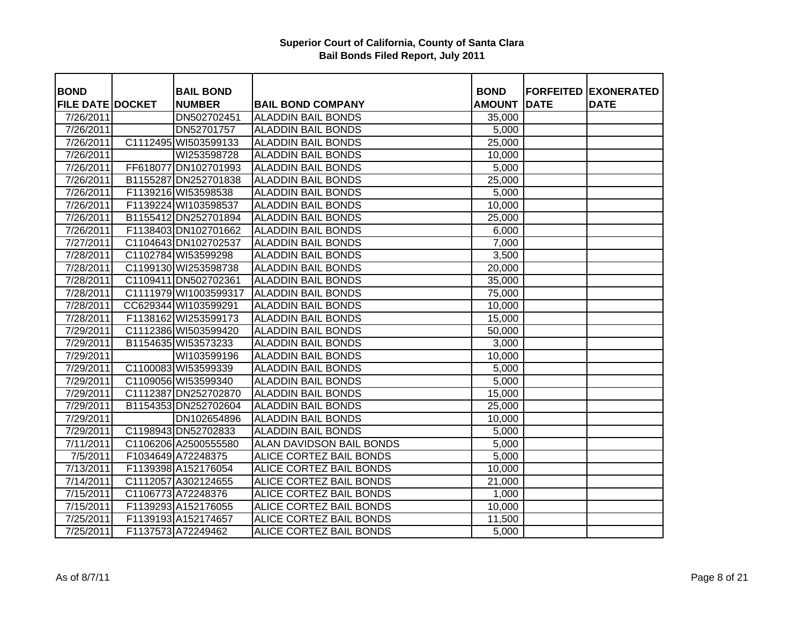| <b>BOND</b>             | <b>BAIL BOND</b>      |                                 | <b>BOND</b>   |             | <b>FORFEITED EXONERATED</b> |
|-------------------------|-----------------------|---------------------------------|---------------|-------------|-----------------------------|
| <b>FILE DATE DOCKET</b> | <b>NUMBER</b>         | <b>BAIL BOND COMPANY</b>        | <b>AMOUNT</b> | <b>DATE</b> | <b>DATE</b>                 |
| 7/26/2011               | DN502702451           | <b>ALADDIN BAIL BONDS</b>       | 35,000        |             |                             |
| 7/26/2011               | DN52701757            | <b>ALADDIN BAIL BONDS</b>       | 5,000         |             |                             |
| 7/26/2011               | C1112495 WI503599133  | <b>ALADDIN BAIL BONDS</b>       | 25,000        |             |                             |
| 7/26/2011               | WI253598728           | <b>ALADDIN BAIL BONDS</b>       | 10,000        |             |                             |
| 7/26/2011               | FF618077 DN102701993  | <b>ALADDIN BAIL BONDS</b>       | 5,000         |             |                             |
| 7/26/2011               | B1155287 DN252701838  | <b>ALADDIN BAIL BONDS</b>       | 25,000        |             |                             |
| 7/26/2011               | F1139216 WI53598538   | <b>ALADDIN BAIL BONDS</b>       | 5,000         |             |                             |
| 7/26/2011               | F1139224 WI103598537  | <b>ALADDIN BAIL BONDS</b>       | 10,000        |             |                             |
| 7/26/2011               | B1155412 DN252701894  | <b>ALADDIN BAIL BONDS</b>       | 25,000        |             |                             |
| 7/26/2011               | F1138403 DN102701662  | <b>ALADDIN BAIL BONDS</b>       | 6,000         |             |                             |
| 7/27/2011               | C1104643 DN102702537  | <b>ALADDIN BAIL BONDS</b>       | 7,000         |             |                             |
| 7/28/2011               | C1102784 WI53599298   | <b>ALADDIN BAIL BONDS</b>       | 3,500         |             |                             |
| 7/28/2011               | C1199130 WI253598738  | <b>ALADDIN BAIL BONDS</b>       | 20,000        |             |                             |
| 7/28/2011               | C1109411 DN502702361  | <b>ALADDIN BAIL BONDS</b>       | 35,000        |             |                             |
| 7/28/2011               | C1111979 WI1003599317 | <b>ALADDIN BAIL BONDS</b>       | 75,000        |             |                             |
| 7/28/2011               | CC629344 WI103599291  | <b>ALADDIN BAIL BONDS</b>       | 10,000        |             |                             |
| 7/28/2011               | F1138162 WI253599173  | <b>ALADDIN BAIL BONDS</b>       | 15,000        |             |                             |
| 7/29/2011               | C1112386 WI503599420  | <b>ALADDIN BAIL BONDS</b>       | 50,000        |             |                             |
| 7/29/2011               | B1154635 WI53573233   | <b>ALADDIN BAIL BONDS</b>       | 3,000         |             |                             |
| 7/29/2011               | WI103599196           | <b>ALADDIN BAIL BONDS</b>       | 10,000        |             |                             |
| 7/29/2011               | C1100083 WI53599339   | <b>ALADDIN BAIL BONDS</b>       | 5,000         |             |                             |
| 7/29/2011               | C1109056 WI53599340   | <b>ALADDIN BAIL BONDS</b>       | 5,000         |             |                             |
| 7/29/2011               | C1112387 DN252702870  | <b>ALADDIN BAIL BONDS</b>       | 15,000        |             |                             |
| 7/29/2011               | B1154353 DN252702604  | <b>ALADDIN BAIL BONDS</b>       | 25,000        |             |                             |
| 7/29/2011               | DN102654896           | <b>ALADDIN BAIL BONDS</b>       | 10,000        |             |                             |
| 7/29/2011               | C1198943 DN52702833   | <b>ALADDIN BAIL BONDS</b>       | 5,000         |             |                             |
| 7/11/2011               | C1106206 A2500555580  | <b>ALAN DAVIDSON BAIL BONDS</b> | 5,000         |             |                             |
| 7/5/2011                | F1034649 A72248375    | <b>ALICE CORTEZ BAIL BONDS</b>  | 5,000         |             |                             |
| 7/13/2011               | F1139398 A152176054   | <b>ALICE CORTEZ BAIL BONDS</b>  | 10,000        |             |                             |
| 7/14/2011               | C1112057 A302124655   | ALICE CORTEZ BAIL BONDS         | 21,000        |             |                             |
| 7/15/2011               | C1106773 A72248376    | ALICE CORTEZ BAIL BONDS         | 1,000         |             |                             |
| 7/15/2011               | F1139293 A152176055   | <b>ALICE CORTEZ BAIL BONDS</b>  | 10,000        |             |                             |
| 7/25/2011               | F1139193 A152174657   | ALICE CORTEZ BAIL BONDS         | 11,500        |             |                             |
| 7/25/2011               | F1137573 A72249462    | ALICE CORTEZ BAIL BONDS         | 5,000         |             |                             |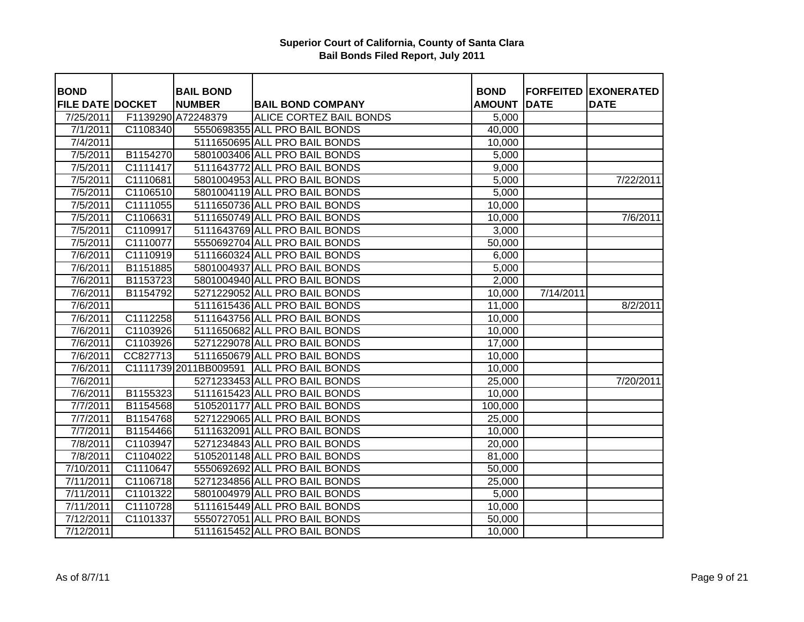| <b>BOND</b>             |                       | <b>BAIL BOND</b>   |                                          | <b>BOND</b>   |             | <b>FORFEITED EXONERATED</b> |
|-------------------------|-----------------------|--------------------|------------------------------------------|---------------|-------------|-----------------------------|
| <b>FILE DATE DOCKET</b> |                       | <b>NUMBER</b>      | <b>BAIL BOND COMPANY</b>                 | <b>AMOUNT</b> | <b>DATE</b> | <b>DATE</b>                 |
| 7/25/2011               |                       | F1139290 A72248379 | <b>ALICE CORTEZ BAIL BONDS</b>           | 5,000         |             |                             |
| 7/1/2011                | C1108340              |                    | 5550698355 ALL PRO BAIL BONDS            | 40,000        |             |                             |
| 7/4/2011                |                       |                    | 5111650695 ALL PRO BAIL BONDS            | 10,000        |             |                             |
| 7/5/2011                | B1154270              |                    | 5801003406 ALL PRO BAIL BONDS            | 5,000         |             |                             |
| 7/5/2011                | C1111417              |                    | 5111643772 ALL PRO BAIL BONDS            | 9,000         |             |                             |
| 7/5/2011                | C1110681              |                    | 5801004953 ALL PRO BAIL BONDS            | 5,000         |             | 7/22/2011                   |
| 7/5/2011                | C1106510              |                    | 5801004119 ALL PRO BAIL BONDS            | 5,000         |             |                             |
| 7/5/2011                | C1111055              |                    | 5111650736 ALL PRO BAIL BONDS            | 10,000        |             |                             |
| 7/5/2011                | C1106631              |                    | 5111650749 ALL PRO BAIL BONDS            | 10,000        |             | 7/6/2011                    |
| 7/5/2011                | C1109917              |                    | 5111643769 ALL PRO BAIL BONDS            | 3,000         |             |                             |
| 7/5/2011                | C1110077              |                    | 5550692704 ALL PRO BAIL BONDS            | 50,000        |             |                             |
| $\frac{1}{7}$ /6/2011   | C1110919              |                    | 5111660324 ALL PRO BAIL BONDS            | 6,000         |             |                             |
| 7/6/2011                | B1151885              |                    | 5801004937 ALL PRO BAIL BONDS            | 5,000         |             |                             |
| $\frac{1}{7}$ /6/2011   | B1153723              |                    | 5801004940 ALL PRO BAIL BONDS            | 2,000         |             |                             |
| 7/6/2011                | B1154792              |                    | 5271229052 ALL PRO BAIL BONDS            | 10,000        | 7/14/2011   |                             |
| 7/6/2011                |                       |                    | 5111615436 ALL PRO BAIL BONDS            | 11,000        |             | 8/2/2011                    |
| 7/6/2011                | C1112258              |                    | 5111643756 ALL PRO BAIL BONDS            | 10,000        |             |                             |
| 7/6/2011                | $\overline{C}$ 103926 |                    | 5111650682 ALL PRO BAIL BONDS            | 10,000        |             |                             |
| 7/6/2011                | C1103926              |                    | 5271229078 ALL PRO BAIL BONDS            | 17,000        |             |                             |
| 7/6/2011                | CC827713              |                    | 5111650679 ALL PRO BAIL BONDS            | 10,000        |             |                             |
| 7/6/2011                |                       |                    | C1111739 2011BB009591 ALL PRO BAIL BONDS | 10,000        |             |                             |
| 7/6/2011                |                       |                    | 5271233453 ALL PRO BAIL BONDS            | 25,000        |             | 7/20/2011                   |
| 7/6/2011                | B1155323              |                    | 5111615423 ALL PRO BAIL BONDS            | 10,000        |             |                             |
| 7/7/2011                | B1154568              |                    | 5105201177 ALL PRO BAIL BONDS            | 100,000       |             |                             |
| 7/7/2011                | B1154768              |                    | 5271229065 ALL PRO BAIL BONDS            | 25,000        |             |                             |
| 7/7/2011                | B1154466              |                    | 5111632091 ALL PRO BAIL BONDS            | 10,000        |             |                             |
| 7/8/2011                | C1103947              |                    | 5271234843 ALL PRO BAIL BONDS            | 20,000        |             |                             |
| 7/8/2011                | C1104022              |                    | 5105201148 ALL PRO BAIL BONDS            | 81,000        |             |                             |
| 7/10/2011               | C1110647              |                    | 5550692692 ALL PRO BAIL BONDS            | 50,000        |             |                             |
| 7/11/2011               | C1106718              |                    | 5271234856 ALL PRO BAIL BONDS            | 25,000        |             |                             |
| 7/11/2011               | C1101322              |                    | 5801004979 ALL PRO BAIL BONDS            | 5,000         |             |                             |
| 7/11/2011               | C1110728              |                    | 5111615449 ALL PRO BAIL BONDS            | 10,000        |             |                             |
| 7/12/2011               | C1101337              |                    | 5550727051 ALL PRO BAIL BONDS            | 50,000        |             |                             |
| 7/12/2011               |                       |                    | 5111615452 ALL PRO BAIL BONDS            | 10,000        |             |                             |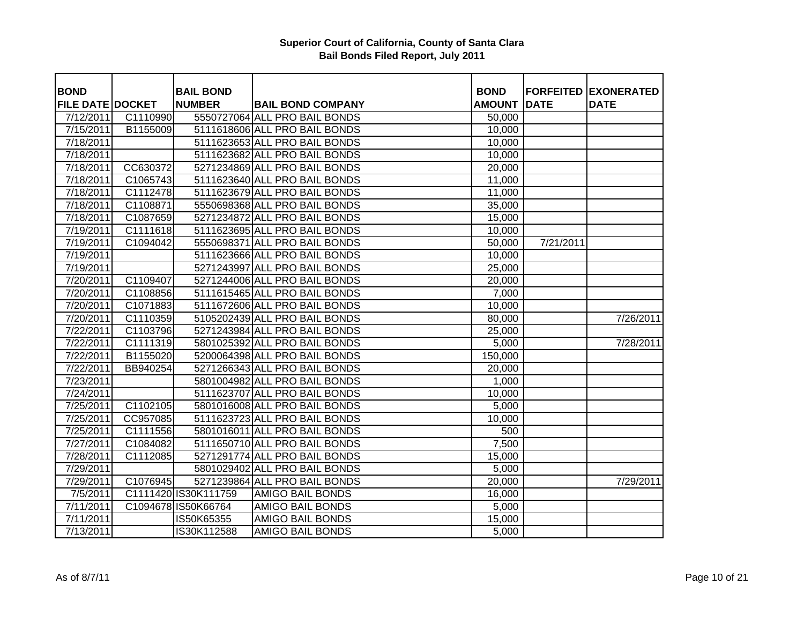| <b>BOND</b>             |          | <b>BAIL BOND</b>     |                               | <b>BOND</b>         |             | <b>FORFEITED EXONERATED</b> |
|-------------------------|----------|----------------------|-------------------------------|---------------------|-------------|-----------------------------|
| <b>FILE DATE DOCKET</b> |          | <b>NUMBER</b>        | <b>BAIL BOND COMPANY</b>      | <b>AMOUNT</b>       | <b>DATE</b> | <b>DATE</b>                 |
| 7/12/2011               | C1110990 |                      | 5550727064 ALL PRO BAIL BONDS | $\overline{50,000}$ |             |                             |
| 7/15/2011               | B1155009 |                      | 5111618606 ALL PRO BAIL BONDS | 10,000              |             |                             |
| 7/18/2011               |          |                      | 5111623653 ALL PRO BAIL BONDS | 10,000              |             |                             |
| 7/18/2011               |          |                      | 5111623682 ALL PRO BAIL BONDS | 10,000              |             |                             |
| 7/18/2011               | CC630372 |                      | 5271234869 ALL PRO BAIL BONDS | 20,000              |             |                             |
| 7/18/2011               | C1065743 |                      | 5111623640 ALL PRO BAIL BONDS | 11,000              |             |                             |
| 7/18/2011               | C1112478 |                      | 5111623679 ALL PRO BAIL BONDS | 11,000              |             |                             |
| 7/18/2011               | C1108871 |                      | 5550698368 ALL PRO BAIL BONDS | 35,000              |             |                             |
| 7/18/2011               | C1087659 |                      | 5271234872 ALL PRO BAIL BONDS | 15,000              |             |                             |
| 7/19/2011               | C1111618 |                      | 5111623695 ALL PRO BAIL BONDS | 10,000              |             |                             |
| 7/19/2011               | C1094042 |                      | 5550698371 ALL PRO BAIL BONDS | 50,000              | 7/21/2011   |                             |
| 7/19/2011               |          |                      | 5111623666 ALL PRO BAIL BONDS | 10,000              |             |                             |
| 7/19/2011               |          |                      | 5271243997 ALL PRO BAIL BONDS | 25,000              |             |                             |
| 7/20/2011               | C1109407 |                      | 5271244006 ALL PRO BAIL BONDS | 20,000              |             |                             |
| 7/20/2011               | C1108856 |                      | 5111615465 ALL PRO BAIL BONDS | 7,000               |             |                             |
| 7/20/2011               | C1071883 |                      | 5111672606 ALL PRO BAIL BONDS | 10,000              |             |                             |
| 7/20/2011               | C1110359 |                      | 5105202439 ALL PRO BAIL BONDS | 80,000              |             | 7/26/2011                   |
| 7/22/2011               | C1103796 |                      | 5271243984 ALL PRO BAIL BONDS | 25,000              |             |                             |
| 7/22/2011               | C1111319 |                      | 5801025392 ALL PRO BAIL BONDS | 5,000               |             | 7/28/2011                   |
| 7/22/2011               | B1155020 |                      | 5200064398 ALL PRO BAIL BONDS | 150,000             |             |                             |
| 7/22/2011               | BB940254 |                      | 5271266343 ALL PRO BAIL BONDS | 20,000              |             |                             |
| 7/23/2011               |          |                      | 5801004982 ALL PRO BAIL BONDS | 1,000               |             |                             |
| 7/24/2011               |          |                      | 5111623707 ALL PRO BAIL BONDS | 10,000              |             |                             |
| 7/25/2011               | C1102105 |                      | 5801016008 ALL PRO BAIL BONDS | 5,000               |             |                             |
| 7/25/2011               | CC957085 |                      | 5111623723 ALL PRO BAIL BONDS | 10,000              |             |                             |
| 7/25/2011               | C1111556 |                      | 5801016011 ALL PRO BAIL BONDS | 500                 |             |                             |
| 7/27/2011               | C1084082 |                      | 5111650710 ALL PRO BAIL BONDS | 7,500               |             |                             |
| 7/28/2011               | C1112085 |                      | 5271291774 ALL PRO BAIL BONDS | 15,000              |             |                             |
| 7/29/2011               |          |                      | 5801029402 ALL PRO BAIL BONDS | 5,000               |             |                             |
| 7/29/2011               | C1076945 |                      | 5271239864 ALL PRO BAIL BONDS | 20,000              |             | 7/29/2011                   |
| $\frac{1}{7}/5/2011$    |          | C1111420 IS30K111759 | <b>AMIGO BAIL BONDS</b>       | 16,000              |             |                             |
| 7/11/2011               |          | C1094678 IS50K66764  | <b>AMIGO BAIL BONDS</b>       | 5,000               |             |                             |
| 7/11/2011               |          | IS50K65355           | <b>AMIGO BAIL BONDS</b>       | 15,000              |             |                             |
| 7/13/2011               |          | IS30K112588          | <b>AMIGO BAIL BONDS</b>       | 5,000               |             |                             |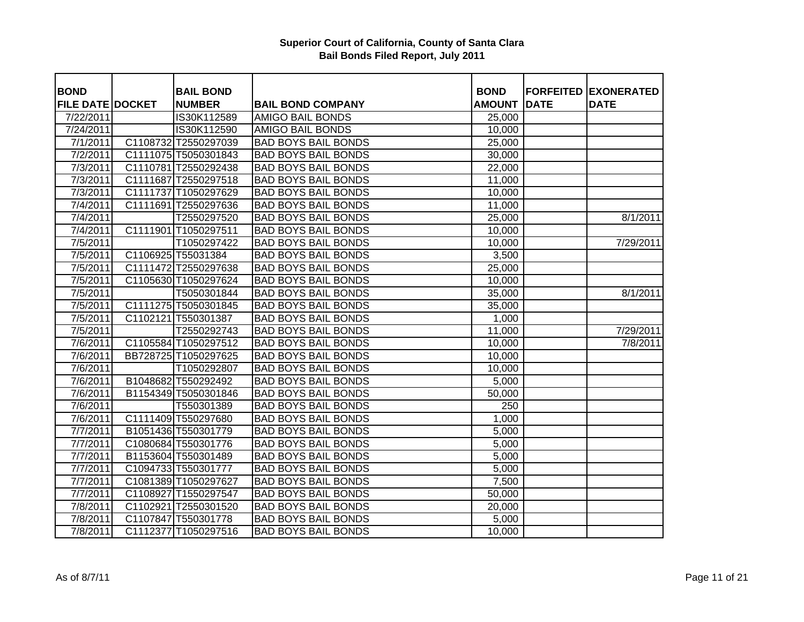| <b>BOND</b><br><b>FILE DATE DOCKET</b> | <b>BAIL BOND</b><br><b>NUMBER</b>   | <b>BAIL BOND COMPANY</b>   | <b>BOND</b><br><b>AMOUNT</b> | <b>DATE</b> | <b>FORFEITED EXONERATED</b><br><b>DATE</b> |
|----------------------------------------|-------------------------------------|----------------------------|------------------------------|-------------|--------------------------------------------|
| 7/22/2011                              | IS30K112589                         | <b>AMIGO BAIL BONDS</b>    | 25,000                       |             |                                            |
| 7/24/2011                              | IS30K112590                         | <b>AMIGO BAIL BONDS</b>    | 10,000                       |             |                                            |
| 7/1/2011                               | C1108732 T2550297039                | <b>BAD BOYS BAIL BONDS</b> |                              |             |                                            |
| 7/2/2011                               | C1111075 T5050301843                | <b>BAD BOYS BAIL BONDS</b> | 25,000<br>30,000             |             |                                            |
| 7/3/2011                               | C1110781 T2550292438                | <b>BAD BOYS BAIL BONDS</b> | 22,000                       |             |                                            |
| 7/3/2011                               | C1111687 T2550297518                | <b>BAD BOYS BAIL BONDS</b> | 11,000                       |             |                                            |
| 7/3/2011                               | C1111737 T1050297629                | <b>BAD BOYS BAIL BONDS</b> | 10,000                       |             |                                            |
|                                        | C1111691 T2550297636                | <b>BAD BOYS BAIL BONDS</b> | 11,000                       |             |                                            |
| 7/4/2011<br>7/4/2011                   |                                     | <b>BAD BOYS BAIL BONDS</b> |                              |             | 8/1/2011                                   |
| 7/4/2011                               | T2550297520<br>C1111901 T1050297511 | <b>BAD BOYS BAIL BONDS</b> | 25,000                       |             |                                            |
| 7/5/2011                               | T1050297422                         | <b>BAD BOYS BAIL BONDS</b> | 10,000                       |             |                                            |
| $\overline{7/5}/2011$                  | C1106925 T55031384                  |                            | 10,000                       |             | 7/29/2011                                  |
|                                        |                                     | <b>BAD BOYS BAIL BONDS</b> | 3,500                        |             |                                            |
| 7/5/2011                               | C1111472 T2550297638                | <b>BAD BOYS BAIL BONDS</b> | 25,000                       |             |                                            |
| 7/5/2011                               | C1105630 T1050297624                | <b>BAD BOYS BAIL BONDS</b> | 10,000                       |             |                                            |
| 7/5/2011                               | T5050301844                         | <b>BAD BOYS BAIL BONDS</b> | 35,000                       |             | 8/1/2011                                   |
| $\overline{7/5}/2011$                  | C1111275 T5050301845                | <b>BAD BOYS BAIL BONDS</b> | 35,000                       |             |                                            |
| 7/5/2011                               | C1102121 T550301387                 | <b>BAD BOYS BAIL BONDS</b> | 1,000                        |             |                                            |
| 7/5/2011                               | T2550292743                         | <b>BAD BOYS BAIL BONDS</b> | 11,000                       |             | 7/29/2011                                  |
| 7/6/2011                               | C1105584 T1050297512                | <b>BAD BOYS BAIL BONDS</b> | 10,000                       |             | 7/8/2011                                   |
| 7/6/2011                               | BB728725 T1050297625                | <b>BAD BOYS BAIL BONDS</b> | 10,000                       |             |                                            |
| 7/6/2011                               | T1050292807                         | <b>BAD BOYS BAIL BONDS</b> | 10,000                       |             |                                            |
| 7/6/2011                               | B1048682 T550292492                 | <b>BAD BOYS BAIL BONDS</b> | 5,000                        |             |                                            |
| 7/6/2011                               | B1154349 T5050301846                | <b>BAD BOYS BAIL BONDS</b> | 50,000                       |             |                                            |
| $\frac{1}{7}$ 6/2011                   | T550301389                          | <b>BAD BOYS BAIL BONDS</b> | 250                          |             |                                            |
| 7/6/2011                               | C1111409 T550297680                 | <b>BAD BOYS BAIL BONDS</b> | 1,000                        |             |                                            |
| 7/7/2011                               | B1051436 T550301779                 | <b>BAD BOYS BAIL BONDS</b> | 5,000                        |             |                                            |
| 7/7/2011                               | C1080684 T550301776                 | <b>BAD BOYS BAIL BONDS</b> | 5,000                        |             |                                            |
| 7/7/2011                               | B1153604 T550301489                 | <b>BAD BOYS BAIL BONDS</b> | 5,000                        |             |                                            |
| 7/7/2011                               | C1094733 T550301777                 | <b>BAD BOYS BAIL BONDS</b> | 5,000                        |             |                                            |
| 7/7/2011                               | C1081389 T1050297627                | <b>BAD BOYS BAIL BONDS</b> | 7,500                        |             |                                            |
| 7/7/2011                               | C1108927 T1550297547                | <b>BAD BOYS BAIL BONDS</b> | 50,000                       |             |                                            |
| 7/8/2011                               | C1102921 T2550301520                | <b>BAD BOYS BAIL BONDS</b> | 20,000                       |             |                                            |
| 7/8/2011                               | C1107847 T550301778                 | <b>BAD BOYS BAIL BONDS</b> | 5,000                        |             |                                            |
| 7/8/2011                               | C1112377 T1050297516                | <b>BAD BOYS BAIL BONDS</b> | 10,000                       |             |                                            |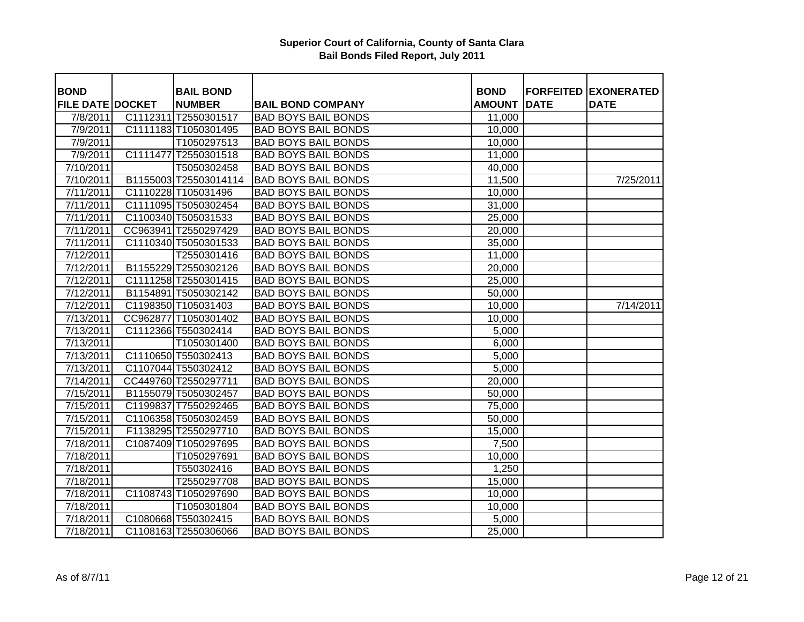| <b>BOND</b>             | <b>BAIL BOND</b>      |                            | <b>BOND</b>   |             | <b>FORFEITED EXONERATED</b> |
|-------------------------|-----------------------|----------------------------|---------------|-------------|-----------------------------|
| <b>FILE DATE DOCKET</b> | <b>NUMBER</b>         | <b>BAIL BOND COMPANY</b>   | <b>AMOUNT</b> | <b>DATE</b> | <b>DATE</b>                 |
| 7/8/2011                | C1112311 T2550301517  | <b>BAD BOYS BAIL BONDS</b> | 11,000        |             |                             |
| 7/9/2011                | C1111183 T1050301495  | <b>BAD BOYS BAIL BONDS</b> | 10,000        |             |                             |
| 7/9/2011                | T1050297513           | <b>BAD BOYS BAIL BONDS</b> | 10,000        |             |                             |
| 7/9/2011                | C1111477 T2550301518  | <b>BAD BOYS BAIL BONDS</b> | 11,000        |             |                             |
| 7/10/2011               | T5050302458           | <b>BAD BOYS BAIL BONDS</b> | 40,000        |             |                             |
| 7/10/2011               | B1155003 T25503014114 | <b>BAD BOYS BAIL BONDS</b> | 11,500        |             | 7/25/2011                   |
| 7/11/2011               | C1110228 T105031496   | <b>BAD BOYS BAIL BONDS</b> | 10,000        |             |                             |
| 7/11/2011               | C1111095 T5050302454  | <b>BAD BOYS BAIL BONDS</b> | 31,000        |             |                             |
| 7/11/2011               | C1100340 T505031533   | <b>BAD BOYS BAIL BONDS</b> | 25,000        |             |                             |
| 7/11/2011               | CC963941 T2550297429  | <b>BAD BOYS BAIL BONDS</b> | 20,000        |             |                             |
| 7/11/2011               | C1110340 T5050301533  | <b>BAD BOYS BAIL BONDS</b> | 35,000        |             |                             |
| 7/12/2011               | T2550301416           | <b>BAD BOYS BAIL BONDS</b> | 11,000        |             |                             |
| 7/12/2011               | B1155229 T2550302126  | <b>BAD BOYS BAIL BONDS</b> | 20,000        |             |                             |
| 7/12/2011               | C1111258 T2550301415  | <b>BAD BOYS BAIL BONDS</b> | 25,000        |             |                             |
| 7/12/2011               | B1154891 T5050302142  | <b>BAD BOYS BAIL BONDS</b> | 50,000        |             |                             |
| 7/12/2011               | C1198350 T105031403   | <b>BAD BOYS BAIL BONDS</b> | 10,000        |             | 7/14/2011                   |
| 7/13/2011               | CC962877 T1050301402  | <b>BAD BOYS BAIL BONDS</b> | 10,000        |             |                             |
| 7/13/2011               | C1112366 T550302414   | <b>BAD BOYS BAIL BONDS</b> | 5,000         |             |                             |
| 7/13/2011               | T1050301400           | <b>BAD BOYS BAIL BONDS</b> | 6,000         |             |                             |
| 7/13/2011               | C1110650 T550302413   | <b>BAD BOYS BAIL BONDS</b> | 5,000         |             |                             |
| 7/13/2011               | C1107044 T550302412   | <b>BAD BOYS BAIL BONDS</b> | 5,000         |             |                             |
| 7/14/2011               | CC449760 T2550297711  | <b>BAD BOYS BAIL BONDS</b> | 20,000        |             |                             |
| 7/15/2011               | B1155079 T5050302457  | <b>BAD BOYS BAIL BONDS</b> | 50,000        |             |                             |
| 7/15/2011               | C1199837 T7550292465  | <b>BAD BOYS BAIL BONDS</b> | 75,000        |             |                             |
| 7/15/2011               | C1106358 T5050302459  | <b>BAD BOYS BAIL BONDS</b> | 50,000        |             |                             |
| 7/15/2011               | F1138295 T2550297710  | <b>BAD BOYS BAIL BONDS</b> | 15,000        |             |                             |
| 7/18/2011               | C1087409 T1050297695  | <b>BAD BOYS BAIL BONDS</b> | 7,500         |             |                             |
| $\frac{7}{18}$ 2011     | T1050297691           | <b>BAD BOYS BAIL BONDS</b> | 10,000        |             |                             |
| 7/18/2011               | T550302416            | <b>BAD BOYS BAIL BONDS</b> | 1,250         |             |                             |
| 7/18/2011               | T2550297708           | <b>BAD BOYS BAIL BONDS</b> | 15,000        |             |                             |
| 7/18/2011               | C1108743 T1050297690  | <b>BAD BOYS BAIL BONDS</b> | 10,000        |             |                             |
| 7/18/2011               | T1050301804           | <b>BAD BOYS BAIL BONDS</b> | 10,000        |             |                             |
| 7/18/2011               | C1080668 T550302415   | <b>BAD BOYS BAIL BONDS</b> | 5,000         |             |                             |
| 7/18/2011               | C1108163 T2550306066  | <b>BAD BOYS BAIL BONDS</b> | 25,000        |             |                             |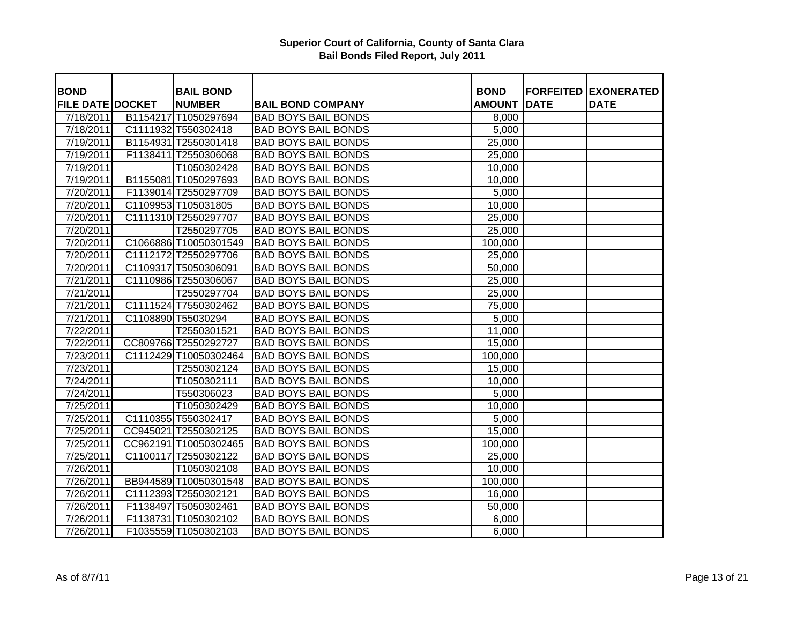| <b>BOND</b>             | <b>BAIL BOND</b>      |                            | <b>BOND</b>   |             | <b>FORFEITED EXONERATED</b> |
|-------------------------|-----------------------|----------------------------|---------------|-------------|-----------------------------|
| <b>FILE DATE DOCKET</b> | <b>NUMBER</b>         | <b>BAIL BOND COMPANY</b>   | <b>AMOUNT</b> | <b>DATE</b> | <b>DATE</b>                 |
| 7/18/2011               | B1154217 T1050297694  | <b>BAD BOYS BAIL BONDS</b> | 8,000         |             |                             |
| 7/18/2011               | C1111932 T550302418   | <b>BAD BOYS BAIL BONDS</b> | 5,000         |             |                             |
| 7/19/2011               | B1154931 T2550301418  | <b>BAD BOYS BAIL BONDS</b> | 25,000        |             |                             |
| 7/19/2011               | F1138411 T2550306068  | <b>BAD BOYS BAIL BONDS</b> | 25,000        |             |                             |
| 7/19/2011               | T1050302428           | <b>BAD BOYS BAIL BONDS</b> | 10,000        |             |                             |
| 7/19/2011               | B1155081 T1050297693  | <b>BAD BOYS BAIL BONDS</b> | 10,000        |             |                             |
| 7/20/2011               | F1139014 T2550297709  | <b>BAD BOYS BAIL BONDS</b> | 5,000         |             |                             |
| 7/20/2011               | C1109953 T105031805   | <b>BAD BOYS BAIL BONDS</b> | 10,000        |             |                             |
| 7/20/2011               | C1111310 T2550297707  | <b>BAD BOYS BAIL BONDS</b> | 25,000        |             |                             |
| 7/20/2011               | T2550297705           | <b>BAD BOYS BAIL BONDS</b> | 25,000        |             |                             |
| 7/20/2011               | C1066886 T10050301549 | <b>BAD BOYS BAIL BONDS</b> | 100,000       |             |                             |
| 7/20/2011               | C1112172 T2550297706  | <b>BAD BOYS BAIL BONDS</b> | 25,000        |             |                             |
| 7/20/2011               | C1109317 T5050306091  | <b>BAD BOYS BAIL BONDS</b> | 50,000        |             |                             |
| 7/21/2011               | C1110986 T2550306067  | <b>BAD BOYS BAIL BONDS</b> | 25,000        |             |                             |
| 7/21/2011               | T2550297704           | <b>BAD BOYS BAIL BONDS</b> | 25,000        |             |                             |
| 7/21/2011               | C1111524 T7550302462  | <b>BAD BOYS BAIL BONDS</b> | 75,000        |             |                             |
| 7/21/2011               | C1108890 T55030294    | <b>BAD BOYS BAIL BONDS</b> | 5,000         |             |                             |
| 7/22/2011               | T2550301521           | <b>BAD BOYS BAIL BONDS</b> | 11,000        |             |                             |
| 7/22/2011               | CC809766 T2550292727  | <b>BAD BOYS BAIL BONDS</b> | 15,000        |             |                             |
| 7/23/2011               | C1112429 T10050302464 | <b>BAD BOYS BAIL BONDS</b> | 100,000       |             |                             |
| 7/23/2011               | T2550302124           | <b>BAD BOYS BAIL BONDS</b> | 15,000        |             |                             |
| 7/24/2011               | T1050302111           | <b>BAD BOYS BAIL BONDS</b> | 10,000        |             |                             |
| 7/24/2011               | T550306023            | <b>BAD BOYS BAIL BONDS</b> | 5,000         |             |                             |
| 7/25/2011               | T1050302429           | <b>BAD BOYS BAIL BONDS</b> | 10,000        |             |                             |
| 7/25/2011               | C1110355 T550302417   | <b>BAD BOYS BAIL BONDS</b> | 5,000         |             |                             |
| 7/25/2011               | CC945021 T2550302125  | <b>BAD BOYS BAIL BONDS</b> | 15,000        |             |                             |
| 7/25/2011               | CC962191 T10050302465 | <b>BAD BOYS BAIL BONDS</b> | 100,000       |             |                             |
| $\frac{7}{25}/2011$     | C1100117 T2550302122  | <b>BAD BOYS BAIL BONDS</b> | 25,000        |             |                             |
| 7/26/2011               | T1050302108           | <b>BAD BOYS BAIL BONDS</b> | 10,000        |             |                             |
| 7/26/2011               | BB944589 T10050301548 | <b>BAD BOYS BAIL BONDS</b> | 100,000       |             |                             |
| 7/26/2011               | C1112393 T2550302121  | <b>BAD BOYS BAIL BONDS</b> | 16,000        |             |                             |
| 7/26/2011               | F1138497 T5050302461  | <b>BAD BOYS BAIL BONDS</b> | 50,000        |             |                             |
| 7/26/2011               | F1138731 T1050302102  | <b>BAD BOYS BAIL BONDS</b> | 6,000         |             |                             |
| 7/26/2011               | F1035559 T1050302103  | <b>BAD BOYS BAIL BONDS</b> | 6,000         |             |                             |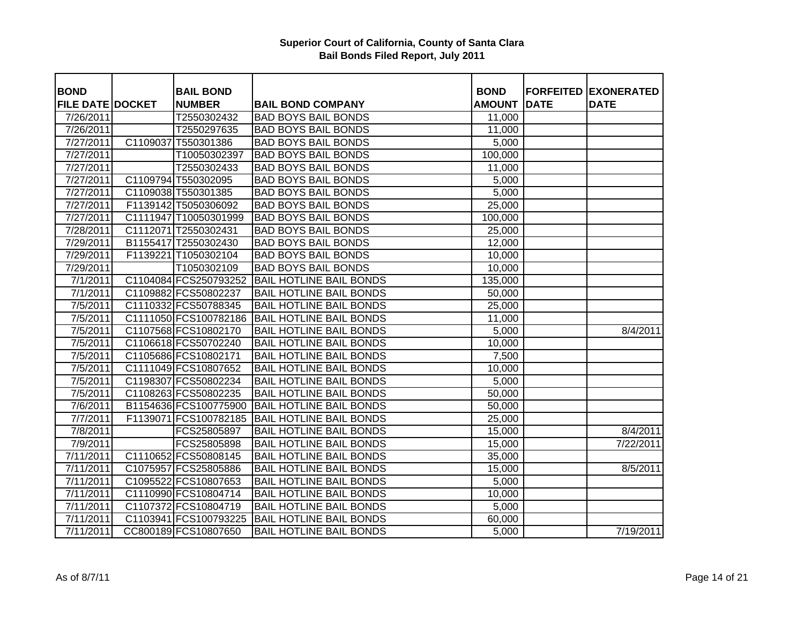| <b>BOND</b>             |          | <b>BAIL BOND</b>      |                                | <b>BOND</b>   |             | <b>FORFEITED EXONERATED</b> |
|-------------------------|----------|-----------------------|--------------------------------|---------------|-------------|-----------------------------|
| <b>FILE DATE DOCKET</b> |          | <b>NUMBER</b>         | <b>BAIL BOND COMPANY</b>       | <b>AMOUNT</b> | <b>DATE</b> | <b>DATE</b>                 |
| 7/26/2011               |          | T2550302432           | <b>BAD BOYS BAIL BONDS</b>     | 11,000        |             |                             |
| 7/26/2011               |          | T2550297635           | <b>BAD BOYS BAIL BONDS</b>     | 11,000        |             |                             |
| 7/27/2011               | C1109037 | T550301386            | <b>BAD BOYS BAIL BONDS</b>     | 5,000         |             |                             |
| 7/27/2011               |          | T10050302397          | <b>BAD BOYS BAIL BONDS</b>     | 100,000       |             |                             |
| 7/27/2011               |          | T2550302433           | <b>BAD BOYS BAIL BONDS</b>     | 11,000        |             |                             |
| 7/27/2011               |          | C1109794 T550302095   | <b>BAD BOYS BAIL BONDS</b>     | 5,000         |             |                             |
| 7/27/2011               |          | C1109038 T550301385   | <b>BAD BOYS BAIL BONDS</b>     | 5,000         |             |                             |
| 7/27/2011               |          | F1139142 T5050306092  | <b>BAD BOYS BAIL BONDS</b>     | 25,000        |             |                             |
| 7/27/2011               |          | C1111947 T10050301999 | <b>BAD BOYS BAIL BONDS</b>     | 100,000       |             |                             |
| 7/28/2011               |          | C1112071 T2550302431  | <b>BAD BOYS BAIL BONDS</b>     | 25,000        |             |                             |
| 7/29/2011               |          | B1155417 T2550302430  | <b>BAD BOYS BAIL BONDS</b>     | 12,000        |             |                             |
| 7/29/2011               |          | F1139221 T1050302104  | <b>BAD BOYS BAIL BONDS</b>     | 10,000        |             |                             |
| 7/29/2011               |          | T1050302109           | <b>BAD BOYS BAIL BONDS</b>     | 10,000        |             |                             |
| 7/1/2011                |          | C1104084 FCS250793252 | <b>BAIL HOTLINE BAIL BONDS</b> | 135,000       |             |                             |
| 7/1/2011                |          | C1109882 FCS50802237  | <b>BAIL HOTLINE BAIL BONDS</b> | 50,000        |             |                             |
| 7/5/2011                |          | C1110332 FCS50788345  | <b>BAIL HOTLINE BAIL BONDS</b> | 25,000        |             |                             |
| 7/5/2011                |          | C1111050 FCS100782186 | <b>BAIL HOTLINE BAIL BONDS</b> | 11,000        |             |                             |
| 7/5/2011                |          | C1107568 FCS10802170  | <b>BAIL HOTLINE BAIL BONDS</b> | 5,000         |             | 8/4/2011                    |
| 7/5/2011                |          | C1106618 FCS50702240  | <b>BAIL HOTLINE BAIL BONDS</b> | 10,000        |             |                             |
| 7/5/2011                |          | C1105686 FCS10802171  | <b>BAIL HOTLINE BAIL BONDS</b> | 7,500         |             |                             |
| 7/5/2011                |          | C1111049 FCS10807652  | <b>BAIL HOTLINE BAIL BONDS</b> | 10,000        |             |                             |
| 7/5/2011                |          | C1198307 FCS50802234  | <b>BAIL HOTLINE BAIL BONDS</b> | 5,000         |             |                             |
| 7/5/2011                |          | C1108263 FCS50802235  | <b>BAIL HOTLINE BAIL BONDS</b> | 50,000        |             |                             |
| 7/6/2011                |          | B1154636 FCS100775900 | <b>BAIL HOTLINE BAIL BONDS</b> | 50,000        |             |                             |
| 7/7/2011                |          | F1139071 FCS100782185 | <b>BAIL HOTLINE BAIL BONDS</b> | 25,000        |             |                             |
| 7/8/2011                |          | FCS25805897           | <b>BAIL HOTLINE BAIL BONDS</b> | 15,000        |             | 8/4/2011                    |
| 7/9/2011                |          | FCS25805898           | <b>BAIL HOTLINE BAIL BONDS</b> | 15,000        |             | 7/22/2011                   |
| 7/11/2011               |          | C1110652 FCS50808145  | <b>BAIL HOTLINE BAIL BONDS</b> | 35,000        |             |                             |
| 7/11/2011               |          | C1075957 FCS25805886  | <b>BAIL HOTLINE BAIL BONDS</b> | 15,000        |             | 8/5/2011                    |
| 7/11/2011               |          | C1095522 FCS10807653  | <b>BAIL HOTLINE BAIL BONDS</b> | 5,000         |             |                             |
| 7/11/2011               |          | C1110990 FCS10804714  | <b>BAIL HOTLINE BAIL BONDS</b> | 10,000        |             |                             |
| 7/11/2011               |          | C1107372 FCS10804719  | <b>BAIL HOTLINE BAIL BONDS</b> | 5,000         |             |                             |
| 7/11/2011               |          | C1103941 FCS100793225 | <b>BAIL HOTLINE BAIL BONDS</b> | 60,000        |             |                             |
| 7/11/2011               |          | CC800189 FCS10807650  | <b>BAIL HOTLINE BAIL BONDS</b> | 5,000         |             | 7/19/2011                   |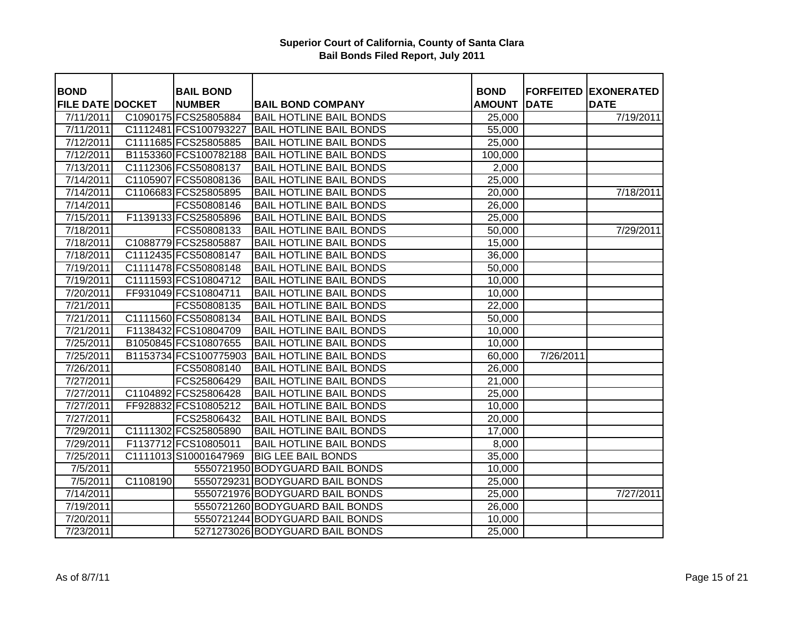| <b>BOND</b>             |          | <b>BAIL BOND</b>      |                                 | <b>BOND</b>         |             | <b>FORFEITED EXONERATED</b> |
|-------------------------|----------|-----------------------|---------------------------------|---------------------|-------------|-----------------------------|
| <b>FILE DATE DOCKET</b> |          | <b>NUMBER</b>         | <b>BAIL BOND COMPANY</b>        | <b>AMOUNT</b>       | <b>DATE</b> | <b>DATE</b>                 |
| 7/11/2011               |          | C1090175 FCS25805884  | <b>BAIL HOTLINE BAIL BONDS</b>  | 25,000              |             | 7/19/2011                   |
| 7/11/2011               |          | C1112481 FCS100793227 | <b>BAIL HOTLINE BAIL BONDS</b>  | 55,000              |             |                             |
| 7/12/2011               |          | C1111685 FCS25805885  | <b>BAIL HOTLINE BAIL BONDS</b>  | 25,000              |             |                             |
| 7/12/2011               |          | B1153360 FCS100782188 | <b>BAIL HOTLINE BAIL BONDS</b>  | 100,000             |             |                             |
| 7/13/2011               |          | C1112306 FCS50808137  | <b>BAIL HOTLINE BAIL BONDS</b>  | 2,000               |             |                             |
| 7/14/2011               |          | C1105907 FCS50808136  | <b>BAIL HOTLINE BAIL BONDS</b>  | 25,000              |             |                             |
| 7/14/2011               |          | C1106683 FCS25805895  | <b>BAIL HOTLINE BAIL BONDS</b>  | 20,000              |             | 7/18/2011                   |
| 7/14/2011               |          | FCS50808146           | <b>BAIL HOTLINE BAIL BONDS</b>  | 26,000              |             |                             |
| 7/15/2011               |          | F1139133 FCS25805896  | <b>BAIL HOTLINE BAIL BONDS</b>  | 25,000              |             |                             |
| 7/18/2011               |          | FCS50808133           | <b>BAIL HOTLINE BAIL BONDS</b>  | 50,000              |             | 7/29/2011                   |
| 7/18/2011               |          | C1088779 FCS25805887  | <b>BAIL HOTLINE BAIL BONDS</b>  | 15,000              |             |                             |
| 7/18/2011               |          | C1112435 FCS50808147  | <b>BAIL HOTLINE BAIL BONDS</b>  | 36,000              |             |                             |
| 7/19/2011               |          | C1111478 FCS50808148  | <b>BAIL HOTLINE BAIL BONDS</b>  | 50,000              |             |                             |
| 7/19/2011               |          | C1111593 FCS10804712  | <b>BAIL HOTLINE BAIL BONDS</b>  | 10,000              |             |                             |
| 7/20/2011               |          | FF931049 FCS10804711  | <b>BAIL HOTLINE BAIL BONDS</b>  | 10,000              |             |                             |
| 7/21/2011               |          | FCS50808135           | <b>BAIL HOTLINE BAIL BONDS</b>  | 22,000              |             |                             |
| 7/21/2011               |          | C1111560 FCS50808134  | <b>BAIL HOTLINE BAIL BONDS</b>  | 50,000              |             |                             |
| 7/21/2011               |          | F1138432 FCS10804709  | <b>BAIL HOTLINE BAIL BONDS</b>  | 10,000              |             |                             |
| 7/25/2011               |          | B1050845 FCS10807655  | <b>BAIL HOTLINE BAIL BONDS</b>  | 10,000              |             |                             |
| 7/25/2011               |          | B1153734 FCS100775903 | <b>BAIL HOTLINE BAIL BONDS</b>  | 60,000              | 7/26/2011   |                             |
| 7/26/2011               |          | FCS50808140           | <b>BAIL HOTLINE BAIL BONDS</b>  | 26,000              |             |                             |
| 7/27/2011               |          | FCS25806429           | <b>BAIL HOTLINE BAIL BONDS</b>  | 21,000              |             |                             |
| 7/27/2011               |          | C1104892 FCS25806428  | <b>BAIL HOTLINE BAIL BONDS</b>  | 25,000              |             |                             |
| 7/27/2011               |          | FF928832 FCS10805212  | <b>BAIL HOTLINE BAIL BONDS</b>  | 10,000              |             |                             |
| 7/27/2011               |          | FCS25806432           | <b>BAIL HOTLINE BAIL BONDS</b>  | 20,000              |             |                             |
| 7/29/2011               |          | C1111302 FCS25805890  | <b>BAIL HOTLINE BAIL BONDS</b>  | 17,000              |             |                             |
| 7/29/2011               |          | F1137712 FCS10805011  | <b>BAIL HOTLINE BAIL BONDS</b>  | 8,000               |             |                             |
| 7/25/2011               |          | C1111013 S10001647969 | <b>BIG LEE BAIL BONDS</b>       | 35,000              |             |                             |
| 7/5/2011                |          |                       | 5550721950 BODYGUARD BAIL BONDS | 10,000              |             |                             |
| 7/5/2011                | C1108190 |                       | 5550729231 BODYGUARD BAIL BONDS | $\overline{2}5,000$ |             |                             |
| 7/14/2011               |          |                       | 5550721976 BODYGUARD BAIL BONDS | 25,000              |             | 7/27/2011                   |
| 7/19/2011               |          |                       | 5550721260 BODYGUARD BAIL BONDS | 26,000              |             |                             |
| 7/20/2011               |          |                       | 5550721244 BODYGUARD BAIL BONDS | 10,000              |             |                             |
| $\frac{1}{2}$ 23/2011   |          |                       | 5271273026 BODYGUARD BAIL BONDS | 25,000              |             |                             |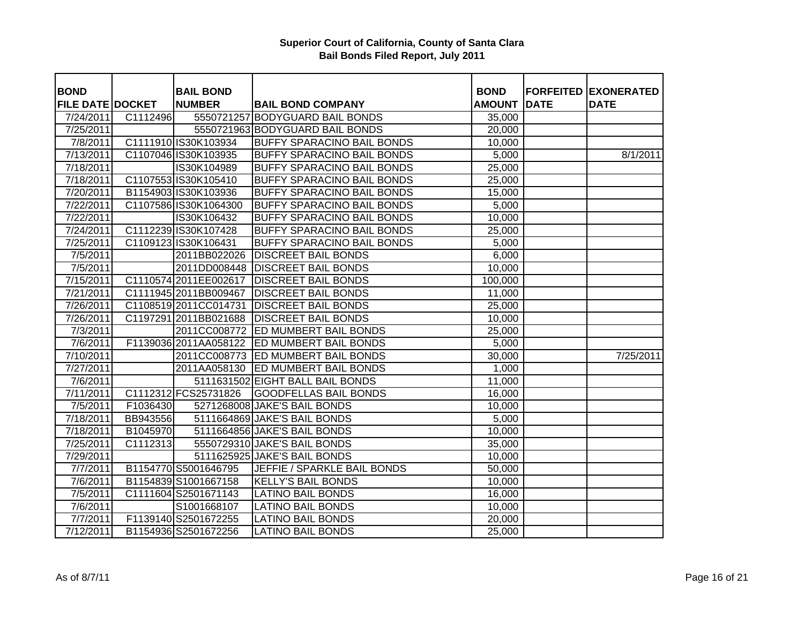| <b>BOND</b>             |          | <b>BAIL BOND</b>       |                                             | <b>BOND</b>   |             | <b>FORFEITED EXONERATED</b> |
|-------------------------|----------|------------------------|---------------------------------------------|---------------|-------------|-----------------------------|
| <b>FILE DATE DOCKET</b> |          | <b>NUMBER</b>          | <b>BAIL BOND COMPANY</b>                    | <b>AMOUNT</b> | <b>DATE</b> | <b>DATE</b>                 |
| 7/24/2011               | C1112496 |                        | 5550721257 BODYGUARD BAIL BONDS             | 35,000        |             |                             |
| 7/25/2011               |          |                        | 5550721963 BODYGUARD BAIL BONDS             | 20,000        |             |                             |
| 7/8/2011                |          | C1111910 IS30K103934   | <b>BUFFY SPARACINO BAIL BONDS</b>           | 10,000        |             |                             |
| 7/13/2011               |          | C1107046 IS30K103935   | <b>BUFFY SPARACINO BAIL BONDS</b>           | 5,000         |             | 8/1/2011                    |
| 7/18/2011               |          | IS30K104989            | <b>BUFFY SPARACINO BAIL BONDS</b>           | 25,000        |             |                             |
| 7/18/2011               |          | C1107553 IS30K105410   | <b>BUFFY SPARACINO BAIL BONDS</b>           | 25,000        |             |                             |
| 7/20/2011               |          | B1154903 IS30K103936   | <b>BUFFY SPARACINO BAIL BONDS</b>           | 15,000        |             |                             |
| 7/22/2011               |          | C1107586 IS30K1064300  | <b>BUFFY SPARACINO BAIL BONDS</b>           | 5,000         |             |                             |
| 7/22/2011               |          | IS30K106432            | <b>BUFFY SPARACINO BAIL BONDS</b>           | 10,000        |             |                             |
| 7/24/2011               |          | C1112239 IS30K107428   | <b>BUFFY SPARACINO BAIL BONDS</b>           | 25,000        |             |                             |
| 7/25/2011               |          | C1109123 IS30K106431   | <b>BUFFY SPARACINO BAIL BONDS</b>           | 5,000         |             |                             |
| 7/5/2011                |          | 2011BB022026           | <b>DISCREET BAIL BONDS</b>                  | 6,000         |             |                             |
| 7/5/2011                |          | 2011DD008448           | <b>DISCREET BAIL BONDS</b>                  | 10,000        |             |                             |
| 7/15/2011               |          | C1110574 2011 EE002617 | <b>DISCREET BAIL BONDS</b>                  | 100,000       |             |                             |
| 7/21/2011               |          | C1111945 2011BB009467  | <b>DISCREET BAIL BONDS</b>                  | 11,000        |             |                             |
| 7/26/2011               |          | C1108519 2011 CC014731 | <b>DISCREET BAIL BONDS</b>                  | 25,000        |             |                             |
| 7/26/2011               |          |                        | C1197291 2011BB021688   DISCREET BAIL BONDS | 10,000        |             |                             |
| 7/3/2011                |          |                        | 2011CC008772 ED MUMBERT BAIL BONDS          | 25,000        |             |                             |
| 7/6/2011                |          |                        | F1139036 2011AA058122 ED MUMBERT BAIL BONDS | 5,000         |             |                             |
| 7/10/2011               |          |                        | 2011CC008773 ED MUMBERT BAIL BONDS          | 30,000        |             | 7/25/2011                   |
| 7/27/2011               |          |                        | 2011AA058130 ED MUMBERT BAIL BONDS          | 1,000         |             |                             |
| 7/6/2011                |          |                        | 5111631502 EIGHT BALL BAIL BONDS            | 11,000        |             |                             |
| $\frac{1}{7}$ 1/2011    |          | C1112312 FCS25731826   | <b>GOODFELLAS BAIL BONDS</b>                | 16,000        |             |                             |
| 7/5/2011                | F1036430 |                        | 5271268008 JAKE'S BAIL BONDS                | 10,000        |             |                             |
| 7/18/2011               | BB943556 |                        | 5111664869 JAKE'S BAIL BONDS                | 5,000         |             |                             |
| 7/18/2011               | B1045970 |                        | 5111664856 JAKE'S BAIL BONDS                | 10,000        |             |                             |
| 7/25/2011               | C1112313 |                        | 5550729310 JAKE'S BAIL BONDS                | 35,000        |             |                             |
| 7/29/2011               |          |                        | 5111625925 JAKE'S BAIL BONDS                | 10,000        |             |                             |
| 7/7/2011                |          | B1154770 S5001646795   | JEFFIE / SPARKLE BAIL BONDS                 | 50,000        |             |                             |
| 7/6/2011                |          | B1154839 S1001667158   | <b>KELLY'S BAIL BONDS</b>                   | 10,000        |             |                             |
| 7/5/2011                |          | C1111604 S2501671143   | <b>LATINO BAIL BONDS</b>                    | 16,000        |             |                             |
| 7/6/2011                |          | S1001668107            | <b>LATINO BAIL BONDS</b>                    | 10,000        |             |                             |
| 7/7/2011                |          | F1139140 S2501672255   | <b>LATINO BAIL BONDS</b>                    | 20,000        |             |                             |
| 7/12/2011               |          | B1154936 S2501672256   | <b>LATINO BAIL BONDS</b>                    | 25,000        |             |                             |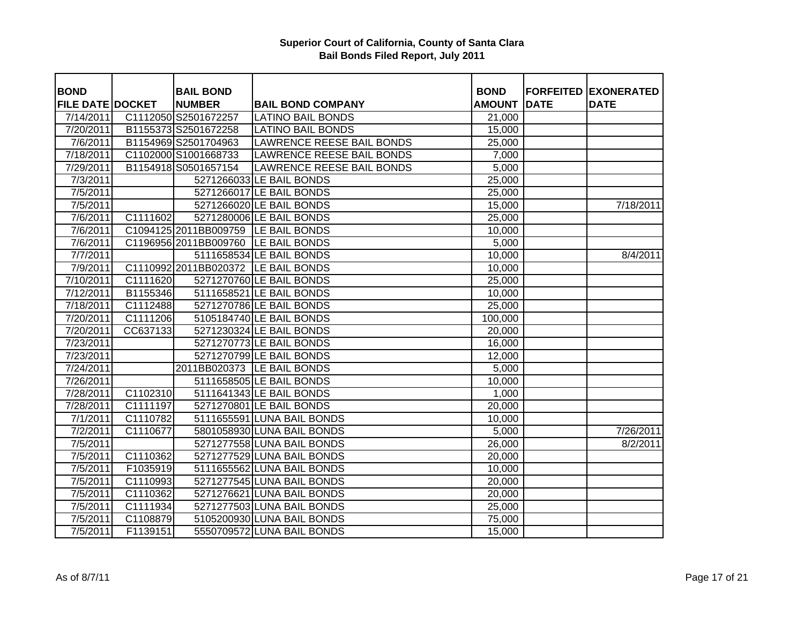| <b>BOND</b>             |          | <b>BAIL BOND</b>                    |                                  | <b>BOND</b>         |             | <b>FORFEITED EXONERATED</b> |
|-------------------------|----------|-------------------------------------|----------------------------------|---------------------|-------------|-----------------------------|
| <b>FILE DATE DOCKET</b> |          | <b>NUMBER</b>                       | <b>BAIL BOND COMPANY</b>         | <b>AMOUNT</b>       | <b>DATE</b> | <b>DATE</b>                 |
| 7/14/2011               |          | C1112050 S2501672257                | <b>LATINO BAIL BONDS</b>         | 21,000              |             |                             |
| 7/20/2011               |          | B1155373 S2501672258                | <b>LATINO BAIL BONDS</b>         | 15,000              |             |                             |
| 7/6/2011                |          | B1154969 S2501704963                | <b>LAWRENCE REESE BAIL BONDS</b> | 25,000              |             |                             |
| 7/18/2011               |          | C1102000 S1001668733                | <b>LAWRENCE REESE BAIL BONDS</b> | 7,000               |             |                             |
| 7/29/2011               |          | B1154918 S0501657154                | <b>LAWRENCE REESE BAIL BONDS</b> | 5,000               |             |                             |
| 7/3/2011                |          |                                     | 5271266033 LE BAIL BONDS         | 25,000              |             |                             |
| 7/5/2011                |          |                                     | 5271266017 LE BAIL BONDS         | 25,000              |             |                             |
| 7/5/2011                |          |                                     | 5271266020 LE BAIL BONDS         | 15,000              |             | 7/18/2011                   |
| 7/6/2011                | C1111602 |                                     | 5271280006 LE BAIL BONDS         | 25,000              |             |                             |
| 7/6/2011                |          | C1094125 2011BB009759 LE BAIL BONDS |                                  | 10,000              |             |                             |
| 7/6/2011                |          | C1196956 2011BB009760 LE BAIL BONDS |                                  | 5,000               |             |                             |
| 7/7/2011                |          |                                     | 5111658534 LE BAIL BONDS         | 10,000              |             | 8/4/2011                    |
| 7/9/2011                |          | C1110992 2011BB020372 LE BAIL BONDS |                                  | 10,000              |             |                             |
| 7/10/2011               | C1111620 |                                     | 5271270760 LE BAIL BONDS         | 25,000              |             |                             |
| 7/12/2011               | B1155346 |                                     | 5111658521 LE BAIL BONDS         | 10,000              |             |                             |
| 7/18/2011               | C1112488 |                                     | 5271270786 LE BAIL BONDS         | 25,000              |             |                             |
| 7/20/2011               | C1111206 |                                     | 5105184740 LE BAIL BONDS         | 100,000             |             |                             |
| 7/20/2011               | CC637133 |                                     | 5271230324 LE BAIL BONDS         | 20,000              |             |                             |
| 7/23/2011               |          |                                     | 5271270773 LE BAIL BONDS         | 16,000              |             |                             |
| 7/23/2011               |          |                                     | 5271270799 LE BAIL BONDS         | 12,000              |             |                             |
| 7/24/2011               |          |                                     | 2011BB020373 LE BAIL BONDS       | 5,000               |             |                             |
| 7/26/2011               |          |                                     | 5111658505 LE BAIL BONDS         | 10,000              |             |                             |
| 7/28/2011               | C1102310 |                                     | 5111641343 LE BAIL BONDS         | 1,000               |             |                             |
| 7/28/2011               | C1111197 |                                     | 5271270801 LE BAIL BONDS         | 20,000              |             |                             |
| 7/1/2011                | C1110782 |                                     | 5111655591 LUNA BAIL BONDS       | 10,000              |             |                             |
| 7/2/2011                | C1110677 |                                     | 5801058930 LUNA BAIL BONDS       | 5,000               |             | 7/26/2011                   |
| 7/5/2011                |          |                                     | 5271277558 LUNA BAIL BONDS       | 26,000              |             | 8/2/2011                    |
| 7/5/2011                | C1110362 |                                     | 5271277529 LUNA BAIL BONDS       | $\overline{20,000}$ |             |                             |
| 7/5/2011                | F1035919 |                                     | 5111655562 LUNA BAIL BONDS       | 10,000              |             |                             |
| 7/5/2011                | C1110993 |                                     | 5271277545 LUNA BAIL BONDS       | 20,000              |             |                             |
| $\overline{7/5}/2011$   | C1110362 |                                     | 5271276621 LUNA BAIL BONDS       | 20,000              |             |                             |
| 7/5/2011                | C1111934 |                                     | 5271277503 LUNA BAIL BONDS       | 25,000              |             |                             |
| 7/5/2011                | C1108879 |                                     | 5105200930 LUNA BAIL BONDS       | 75,000              |             |                             |
| $\overline{7/5}/2011$   | F1139151 |                                     | 5550709572 LUNA BAIL BONDS       | 15,000              |             |                             |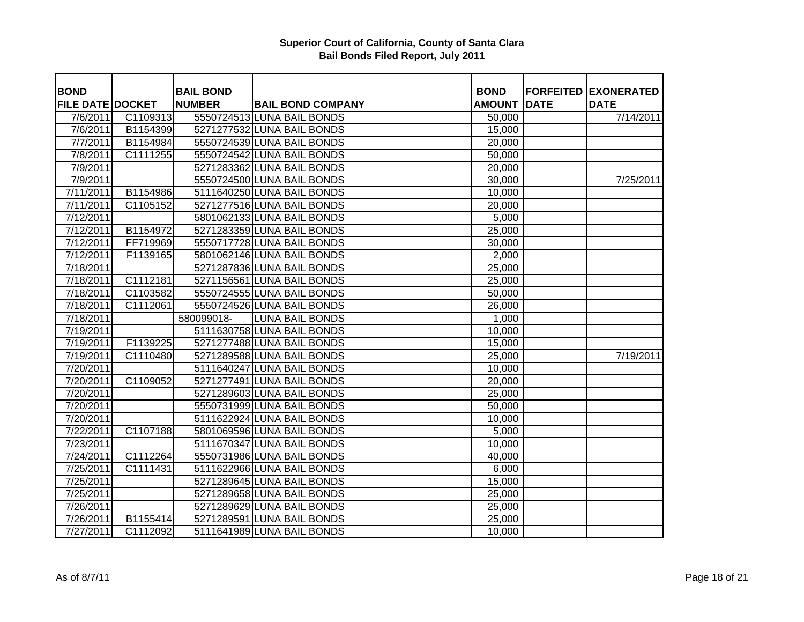| <b>BOND</b>             |          | <b>BAIL BOND</b> |                            | <b>BOND</b>   |             | <b>FORFEITED EXONERATED</b> |
|-------------------------|----------|------------------|----------------------------|---------------|-------------|-----------------------------|
| <b>FILE DATE DOCKET</b> |          | <b>NUMBER</b>    | <b>BAIL BOND COMPANY</b>   | <b>AMOUNT</b> | <b>DATE</b> | <b>DATE</b>                 |
| 7/6/2011                | C1109313 |                  | 5550724513 LUNA BAIL BONDS | 50,000        |             | 7/14/2011                   |
| 7/6/2011                | B1154399 |                  | 5271277532 LUNA BAIL BONDS | 15,000        |             |                             |
| 7/7/2011                | B1154984 |                  | 5550724539 LUNA BAIL BONDS | 20,000        |             |                             |
| 7/8/2011                | C1111255 |                  | 5550724542 LUNA BAIL BONDS | 50,000        |             |                             |
| 7/9/2011                |          |                  | 5271283362 LUNA BAIL BONDS | 20,000        |             |                             |
| 7/9/2011                |          |                  | 5550724500 LUNA BAIL BONDS | 30,000        |             | 7/25/2011                   |
| 7/11/2011               | B1154986 |                  | 5111640250 LUNA BAIL BONDS | 10,000        |             |                             |
| 7/11/2011               | C1105152 |                  | 5271277516 LUNA BAIL BONDS | 20,000        |             |                             |
| 7/12/2011               |          |                  | 5801062133 LUNA BAIL BONDS | 5,000         |             |                             |
| 7/12/2011               | B1154972 |                  | 5271283359 LUNA BAIL BONDS | 25,000        |             |                             |
| 7/12/2011               | FF719969 |                  | 5550717728 LUNA BAIL BONDS | 30,000        |             |                             |
| 7/12/2011               | F1139165 |                  | 5801062146 LUNA BAIL BONDS | 2,000         |             |                             |
| 7/18/2011               |          |                  | 5271287836 LUNA BAIL BONDS | 25,000        |             |                             |
| 7/18/2011               | C1112181 |                  | 5271156561 LUNA BAIL BONDS | 25,000        |             |                             |
| 7/18/2011               | C1103582 |                  | 5550724555 LUNA BAIL BONDS | 50,000        |             |                             |
| 7/18/2011               | C1112061 |                  | 5550724526 LUNA BAIL BONDS | 26,000        |             |                             |
| 7/18/2011               |          | 580099018-       | <b>LUNA BAIL BONDS</b>     | 1,000         |             |                             |
| 7/19/2011               |          |                  | 5111630758 LUNA BAIL BONDS | 10,000        |             |                             |
| 7/19/2011               | F1139225 |                  | 5271277488 LUNA BAIL BONDS | 15,000        |             |                             |
| 7/19/2011               | C1110480 |                  | 5271289588 LUNA BAIL BONDS | 25,000        |             | 7/19/2011                   |
| 7/20/2011               |          |                  | 5111640247 LUNA BAIL BONDS | 10,000        |             |                             |
| 7/20/2011               | C1109052 |                  | 5271277491 LUNA BAIL BONDS | 20,000        |             |                             |
| 7/20/2011               |          |                  | 5271289603 LUNA BAIL BONDS | 25,000        |             |                             |
| 7/20/2011               |          |                  | 5550731999 LUNA BAIL BONDS | 50,000        |             |                             |
| 7/20/2011               |          |                  | 5111622924 LUNA BAIL BONDS | 10,000        |             |                             |
| 7/22/2011               | C1107188 |                  | 5801069596 LUNA BAIL BONDS | 5,000         |             |                             |
| 7/23/2011               |          |                  | 5111670347 LUNA BAIL BONDS | 10,000        |             |                             |
| 7/24/2011               | C1112264 |                  | 5550731986 LUNA BAIL BONDS | 40,000        |             |                             |
| 7/25/2011               | C1111431 |                  | 5111622966 LUNA BAIL BONDS | 6,000         |             |                             |
| 7/25/2011               |          |                  | 5271289645 LUNA BAIL BONDS | 15,000        |             |                             |
| 7/25/2011               |          |                  | 5271289658 LUNA BAIL BONDS | 25,000        |             |                             |
| 7/26/2011               |          |                  | 5271289629 LUNA BAIL BONDS | 25,000        |             |                             |
| 7/26/2011               | B1155414 |                  | 5271289591 LUNA BAIL BONDS | 25,000        |             |                             |
| 7/27/2011               | C1112092 |                  | 5111641989 LUNA BAIL BONDS | 10,000        |             |                             |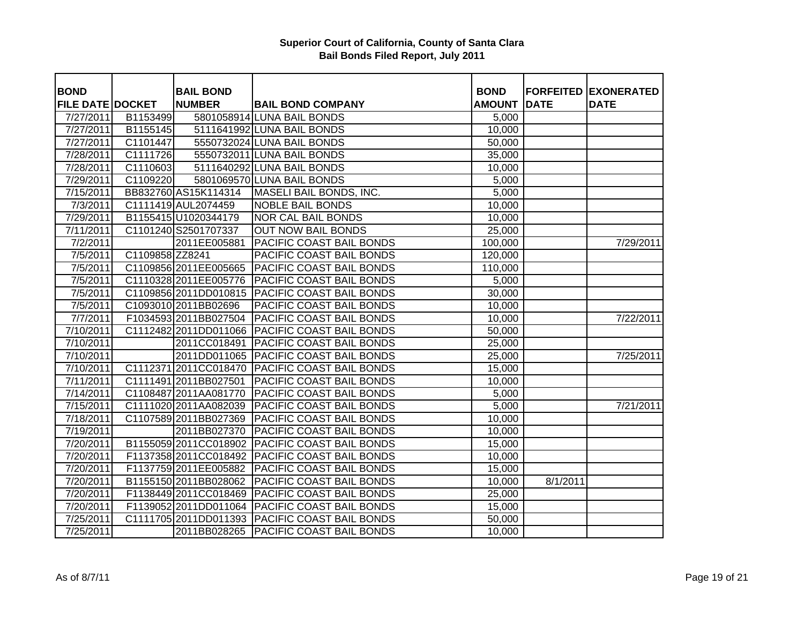| <b>BOND</b>             |                 | <b>BAIL BOND</b>      |                                                 | <b>BOND</b>   |             | <b>FORFEITED EXONERATED</b> |
|-------------------------|-----------------|-----------------------|-------------------------------------------------|---------------|-------------|-----------------------------|
| <b>FILE DATE DOCKET</b> |                 | <b>NUMBER</b>         | <b>BAIL BOND COMPANY</b>                        | <b>AMOUNT</b> | <b>DATE</b> | <b>DATE</b>                 |
| 7/27/2011               | B1153499        |                       | 5801058914 LUNA BAIL BONDS                      | 5,000         |             |                             |
| 7/27/2011               | B1155145        |                       | 5111641992 LUNA BAIL BONDS                      | 10,000        |             |                             |
| 7/27/2011               | C1101447        |                       | 5550732024 LUNA BAIL BONDS                      | 50,000        |             |                             |
| 7/28/2011               | C1111726        |                       | 5550732011 LUNA BAIL BONDS                      | 35,000        |             |                             |
| 7/28/2011               | C1110603        |                       | 5111640292 LUNA BAIL BONDS                      | 10,000        |             |                             |
| 7/29/2011               | C1109220        |                       | 5801069570 LUNA BAIL BONDS                      | 5,000         |             |                             |
| 7/15/2011               |                 | BB832760 AS15K114314  | MASELI BAIL BONDS, INC.                         | 5,000         |             |                             |
| 7/3/2011                |                 | C1111419 AUL2074459   | <b>NOBLE BAIL BONDS</b>                         | 10,000        |             |                             |
| 7/29/2011               |                 | B1155415 U1020344179  | <b>NOR CAL BAIL BONDS</b>                       | 10,000        |             |                             |
| 7/11/2011               |                 | C1101240 S2501707337  | <b>OUT NOW BAIL BONDS</b>                       | 25,000        |             |                             |
| 7/2/2011                |                 | 2011EE005881          | PACIFIC COAST BAIL BONDS                        | 100,000       |             | 7/29/2011                   |
| 7/5/2011                | C1109858 ZZ8241 |                       | PACIFIC COAST BAIL BONDS                        | 120,000       |             |                             |
| 7/5/2011                |                 | C1109856 2011EE005665 | <b>PACIFIC COAST BAIL BONDS</b>                 | 110,000       |             |                             |
| 7/5/2011                |                 | C1110328 2011EE005776 | <b>PACIFIC COAST BAIL BONDS</b>                 | 5,000         |             |                             |
| 7/5/2011                |                 | C1109856 2011DD010815 | PACIFIC COAST BAIL BONDS                        | 30,000        |             |                             |
| 7/5/2011                |                 | C1093010 2011BB02696  | PACIFIC COAST BAIL BONDS                        | 10,000        |             |                             |
| 7/7/2011                |                 | F1034593 2011BB027504 | <b>PACIFIC COAST BAIL BONDS</b>                 | 10,000        |             | 7/22/2011                   |
| 7/10/2011               |                 | C1112482 2011DD011066 | <b>PACIFIC COAST BAIL BONDS</b>                 | 50,000        |             |                             |
| 7/10/2011               |                 |                       | 2011CC018491   PACIFIC COAST BAIL BONDS         | 25,000        |             |                             |
| 7/10/2011               |                 |                       | 2011DD011065 PACIFIC COAST BAIL BONDS           | 25,000        |             | 7/25/2011                   |
| 7/10/2011               |                 |                       | C1112371 2011 CC018470 PACIFIC COAST BAIL BONDS | 15,000        |             |                             |
| $\frac{7}{1122011}$     |                 | C1111491 2011BB027501 | <b>PACIFIC COAST BAIL BONDS</b>                 | 10,000        |             |                             |
| 7/14/2011               |                 | C1108487 2011AA081770 | <b>PACIFIC COAST BAIL BONDS</b>                 | 5,000         |             |                             |
| 7/15/2011               |                 | C1111020 2011AA082039 | <b>PACIFIC COAST BAIL BONDS</b>                 | 5,000         |             | 7/21/2011                   |
| 7/18/2011               |                 | C1107589 2011BB027369 | <b>PACIFIC COAST BAIL BONDS</b>                 | 10,000        |             |                             |
| 7/19/2011               |                 | 2011BB027370          | <b>PACIFIC COAST BAIL BONDS</b>                 | 10,000        |             |                             |
| 7/20/2011               |                 | B1155059 2011CC018902 | <b>PACIFIC COAST BAIL BONDS</b>                 | 15,000        |             |                             |
| 7/20/2011               |                 | F1137358 2011CC018492 | <b>PACIFIC COAST BAIL BONDS</b>                 | 10,000        |             |                             |
| 7/20/2011               |                 | F1137759 2011EE005882 | PACIFIC COAST BAIL BONDS                        | 15,000        |             |                             |
| 7/20/2011               |                 | B1155150 2011BB028062 | <b>PACIFIC COAST BAIL BONDS</b>                 | 10,000        | 8/1/2011    |                             |
| 7/20/2011               |                 | F1138449 2011CC018469 | <b>PACIFIC COAST BAIL BONDS</b>                 | 25,000        |             |                             |
| 7/20/2011               |                 | F1139052 2011DD011064 | <b>PACIFIC COAST BAIL BONDS</b>                 | 15,000        |             |                             |
| 7/25/2011               |                 | C1111705 2011DD011393 | <b>PACIFIC COAST BAIL BONDS</b>                 | 50,000        |             |                             |
| 7/25/2011               |                 | 2011BB028265          | <b>PACIFIC COAST BAIL BONDS</b>                 | 10,000        |             |                             |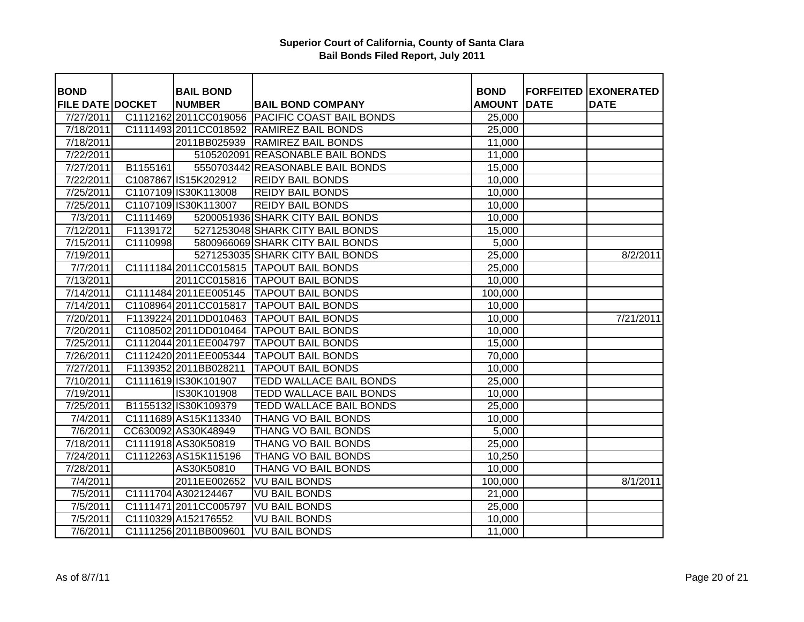| <b>BOND</b>             |          | <b>BAIL BOND</b>       |                                                 | <b>BOND</b>   |             | <b>FORFEITED EXONERATED</b> |
|-------------------------|----------|------------------------|-------------------------------------------------|---------------|-------------|-----------------------------|
| <b>FILE DATE DOCKET</b> |          | <b>NUMBER</b>          | <b>BAIL BOND COMPANY</b>                        | <b>AMOUNT</b> | <b>DATE</b> | <b>DATE</b>                 |
| 7/27/2011               |          |                        | C1112162 2011 CC019056 PACIFIC COAST BAIL BONDS | 25,000        |             |                             |
| 7/18/2011               |          |                        | C1111493 2011 CC018592 RAMIREZ BAIL BONDS       | 25,000        |             |                             |
| 7/18/2011               |          |                        | 2011BB025939 RAMIREZ BAIL BONDS                 | 11,000        |             |                             |
| 7/22/2011               |          |                        | 5105202091 REASONABLE BAIL BONDS                | 11,000        |             |                             |
| 7/27/2011               | B1155161 |                        | 5550703442 REASONABLE BAIL BONDS                | 15,000        |             |                             |
| 7/22/2011               |          | C1087867 IS15K202912   | <b>REIDY BAIL BONDS</b>                         | 10,000        |             |                             |
| 7/25/2011               |          | C1107109 IS30K113008   | <b>REIDY BAIL BONDS</b>                         | 10,000        |             |                             |
| 7/25/2011               |          | C1107109 IS30K113007   | <b>REIDY BAIL BONDS</b>                         | 10,000        |             |                             |
| 7/3/2011                | C1111469 |                        | 5200051936 SHARK CITY BAIL BONDS                | 10,000        |             |                             |
| 7/12/2011               | F1139172 |                        | 5271253048 SHARK CITY BAIL BONDS                | 15,000        |             |                             |
| 7/15/2011               | C1110998 |                        | 5800966069 SHARK CITY BAIL BONDS                | 5,000         |             |                             |
| 7/19/2011               |          |                        | 5271253035 SHARK CITY BAIL BONDS                | 25,000        |             | 8/2/2011                    |
| 7/7/2011                |          |                        | C1111184 2011 CC015815   TAPOUT BAIL BONDS      | 25,000        |             |                             |
| 7/13/2011               |          |                        | 2011CC015816 TAPOUT BAIL BONDS                  | 10,000        |             |                             |
| 7/14/2011               |          |                        | C1111484 2011 EE005145   TAPOUT BAIL BONDS      | 100,000       |             |                             |
| 7/14/2011               |          |                        | C1108964 2011 CC015817 TAPOUT BAIL BONDS        | 10,000        |             |                             |
| 7/20/2011               |          |                        | F1139224 2011DD010463 TAPOUT BAIL BONDS         | 10,000        |             | 7/21/2011                   |
| 7/20/2011               |          |                        | C1108502 2011DD010464 TAPOUT BAIL BONDS         | 10,000        |             |                             |
| 7/25/2011               |          |                        | C1112044 2011 EE004797 TAPOUT BAIL BONDS        | 15,000        |             |                             |
| 7/26/2011               |          |                        | C1112420 2011EE005344 TAPOUT BAIL BONDS         | 70,000        |             |                             |
| 7/27/2011               |          | F1139352 2011BB028211  | <b>TAPOUT BAIL BONDS</b>                        | 10,000        |             |                             |
| 7/10/2011               |          | C1111619 IS30K101907   | <b>TEDD WALLACE BAIL BONDS</b>                  | 25,000        |             |                             |
| 7/19/2011               |          | IS30K101908            | <b>TEDD WALLACE BAIL BONDS</b>                  | 10,000        |             |                             |
| 7/25/2011               |          | B1155132 IS30K109379   | <b>TEDD WALLACE BAIL BONDS</b>                  | 25,000        |             |                             |
| 7/4/2011                |          | C1111689 AS15K113340   | <b>THANG VO BAIL BONDS</b>                      | 10,000        |             |                             |
| 7/6/2011                |          | CC630092 AS30K48949    | THANG VO BAIL BONDS                             | 5,000         |             |                             |
| 7/18/2011               |          | C1111918 AS30K50819    | <b>THANG VO BAIL BONDS</b>                      | 25,000        |             |                             |
| 7/24/2011               |          | C1112263 AS15K115196   | <b>THANG VO BAIL BONDS</b>                      | 10,250        |             |                             |
| 7/28/2011               |          | AS30K50810             | <b>THANG VO BAIL BONDS</b>                      | 10,000        |             |                             |
| 7/4/2011                |          | 2011EE002652           | <b>VU BAIL BONDS</b>                            | 100,000       |             | 8/1/2011                    |
| 7/5/2011                |          | C1111704 A302124467    | <b>VU BAIL BONDS</b>                            | 21,000        |             |                             |
| 7/5/2011                |          | C1111471 2011 CC005797 | <b>VU BAIL BONDS</b>                            | 25,000        |             |                             |
| 7/5/2011                |          | C1110329 A152176552    | <b>VU BAIL BONDS</b>                            | 10,000        |             |                             |
| 7/6/2011                |          | C1111256 2011BB009601  | <b>VU BAIL BONDS</b>                            | 11,000        |             |                             |